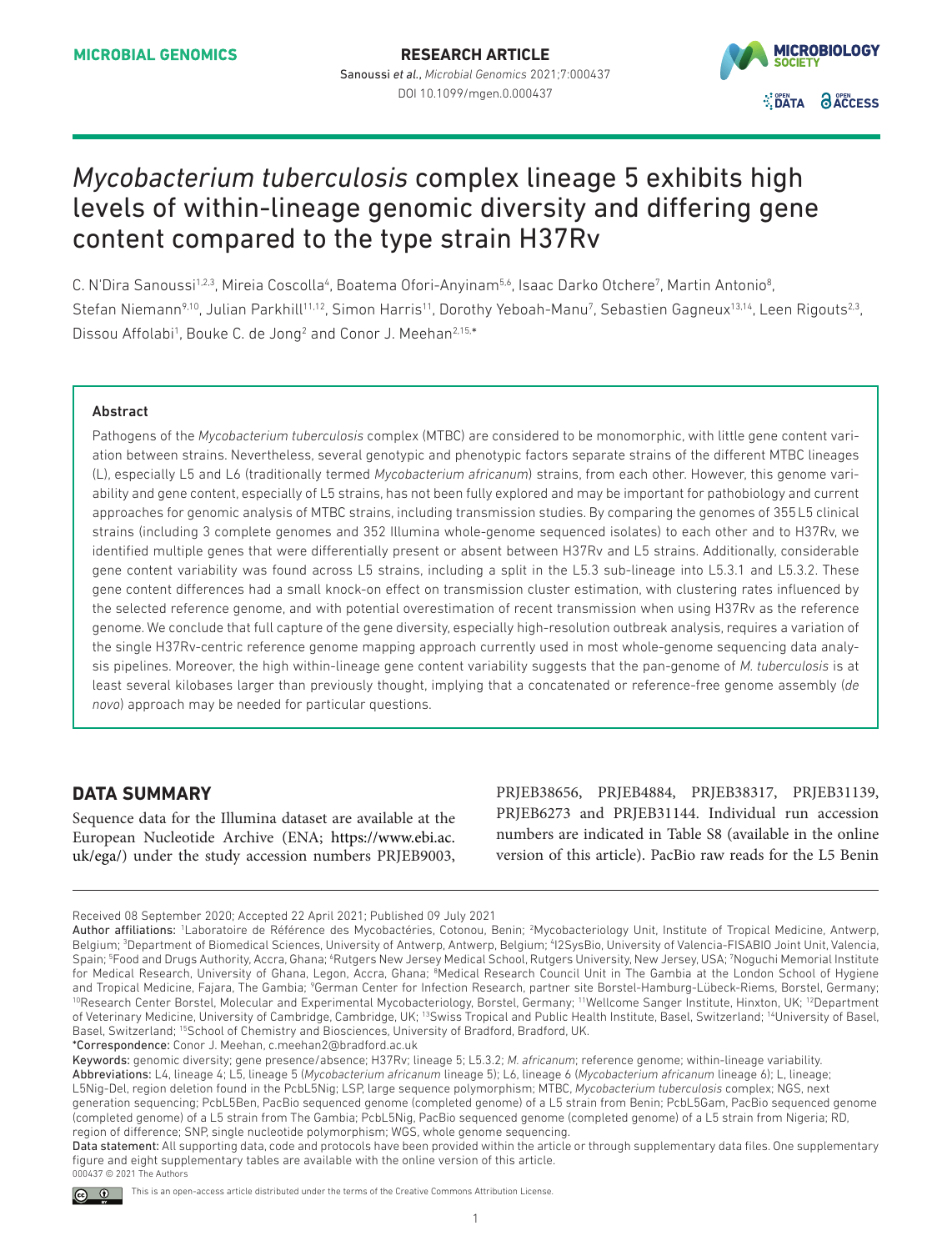

# *Mycobacterium tuberculosis* complex lineage 5 exhibits high levels of within-lineage genomic diversity and differing gene content compared to the type strain H37Rv

C. N'Dira Sanoussi<sup>1,2,3</sup>, Mireia Coscolla<sup>4</sup>, Boatema Ofori-Anyinam<sup>5,6</sup>, Isaac Darko Otchere<sup>7</sup>, Martin Antonio<sup>8</sup>, Stefan Niemann<sup>9,10</sup>, Julian Parkhill<sup>11,12</sup>, Simon Harris<sup>11</sup>, Dorothy Yeboah-Manu<sup>7</sup>, Sebastien Gagneux<sup>13,14</sup>, Leen Rigouts<sup>2,3</sup>, Dissou Affolabi<sup>1</sup>, Bouke C. de Jong<sup>2</sup> and Conor J. Meehan<sup>2,15,\*</sup>

### Abstract

Pathogens of the *Mycobacterium tuberculosis* complex (MTBC) are considered to be monomorphic, with little gene content variation between strains. Nevertheless, several genotypic and phenotypic factors separate strains of the different MTBC lineages (L), especially L5 and L6 (traditionally termed *Mycobacterium africanum*) strains, from each other. However, this genome variability and gene content, especially of L5 strains, has not been fully explored and may be important for pathobiology and current approaches for genomic analysis of MTBC strains, including transmission studies. By comparing the genomes of 355L5 clinical strains (including 3 complete genomes and 352 Illumina whole-genome sequenced isolates) to each other and to H37Rv, we identified multiple genes that were differentially present or absent between H37Rv and L5 strains. Additionally, considerable gene content variability was found across L5 strains, including a split in the L5.3 sub-lineage into L5.3.1 and L5.3.2. These gene content differences had a small knock-on effect on transmission cluster estimation, with clustering rates influenced by the selected reference genome, and with potential overestimation of recent transmission when using H37Rv as the reference genome. We conclude that full capture of the gene diversity, especially high-resolution outbreak analysis, requires a variation of the single H37Rv-centric reference genome mapping approach currently used in most whole-genome sequencing data analysis pipelines. Moreover, the high within-lineage gene content variability suggests that the pan-genome of *M. tuberculosis* is at least several kilobases larger than previously thought, implying that a concatenated or reference-free genome assembly (*de novo*) approach may be needed for particular questions.

# **DATA SUMMARY**

Sequence data for the Illumina dataset are available at the European Nucleotide Archive (ENA; [https://www.ebi.ac.](https://www.ebi.ac.uk/ega/) [uk/ega/](https://www.ebi.ac.uk/ega/)) under the study accession numbers PRJEB9003, PRJEB38656, PRJEB4884, PRJEB38317, PRJEB31139, PRJEB6273 and PRJEB31144. Individual run accession numbers are indicated in Table S8 (available in the online version of this article). PacBio raw reads for the L5 Benin

Keywords: genomic diversity; gene presence/absence; H37Rv; lineage 5; L5.3.2; *M. africanum*; reference genome; within-lineage variability. Abbreviations: L4, lineage 4; L5, lineage 5 (*Mycobacterium africanum* lineage 5); L6, lineage 6 (*Mycobacterium africanum* lineage 6); L, lineage; L5Nig-Del, region deletion found in the PcbL5Nig; LSP, large sequence polymorphism; MTBC, *Mycobacterium tuberculosis* complex; NGS, next generation sequencing; PcbL5Ben, PacBio sequenced genome (completed genome) of a L5 strain from Benin; PcbL5Gam, PacBio sequenced genome (completed genome) of a L5 strain from The Gambia; PcbL5Nig, PacBio sequenced genome (completed genome) of a L5 strain from Nigeria; RD, region of difference; SNP, single nucleotide polymorphism; WGS, whole genome sequencing.

Data statement: All supporting data, code and protocols have been provided within the article or through supplementary data files. One supplementary figure and eight supplementary tables are available with the online version of this article. 000437 © 2021 The Authors

Received 08 September 2020; Accepted 22 April 2021; Published 09 July 2021

Author affiliations: 'Laboratoire de Référence des Mycobactéries, Cotonou, Benin; <sup>2</sup>Mycobacteriology Unit, Institute of Tropical Medicine, Antwerp, Belgium; <sup>3</sup>Department of Biomedical Sciences, University of Antwerp, Antwerp, Belgium; <sup>4</sup>12SysBio, University of Valencia-FISABIO Joint Unit, Valencia, Spain; <sup>5</sup>Food and Drugs Authority, Accra, Ghana; <sup>6</sup>Rutgers New Jersey Medical School, Rutgers University, New Jersey, USA; 7Noguchi Memorial Institute for Medical Research, University of Ghana, Legon, Accra, Ghana; <sup>8</sup>Medical Research Council Unit in The Gambia at the London School of Hygiene and Tropical Medicine, Fajara, The Gambia; <sup>9</sup>German Center for Infection Research, partner site Borstel-Hamburg-Lübeck-Riems, Borstel, Germany; <sup>10</sup>Research Center Borstel, Molecular and Experimental Mycobacteriology, Borstel, Germany; <sup>11</sup>Wellcome Sanger Institute, Hinxton, UK; <sup>12</sup>Department of Veterinary Medicine, University of Cambridge, Cambridge, UK; <sup>13</sup>Swiss Tropical and Public Health Institute, Basel, Switzerland; <sup>14</sup>University of Basel, Basel, Switzerland; 15School of Chemistry and Biosciences, University of Bradford, Bradford, UK. \*Correspondence: Conor J. Meehan, c.meehan2@bradford.ac.uk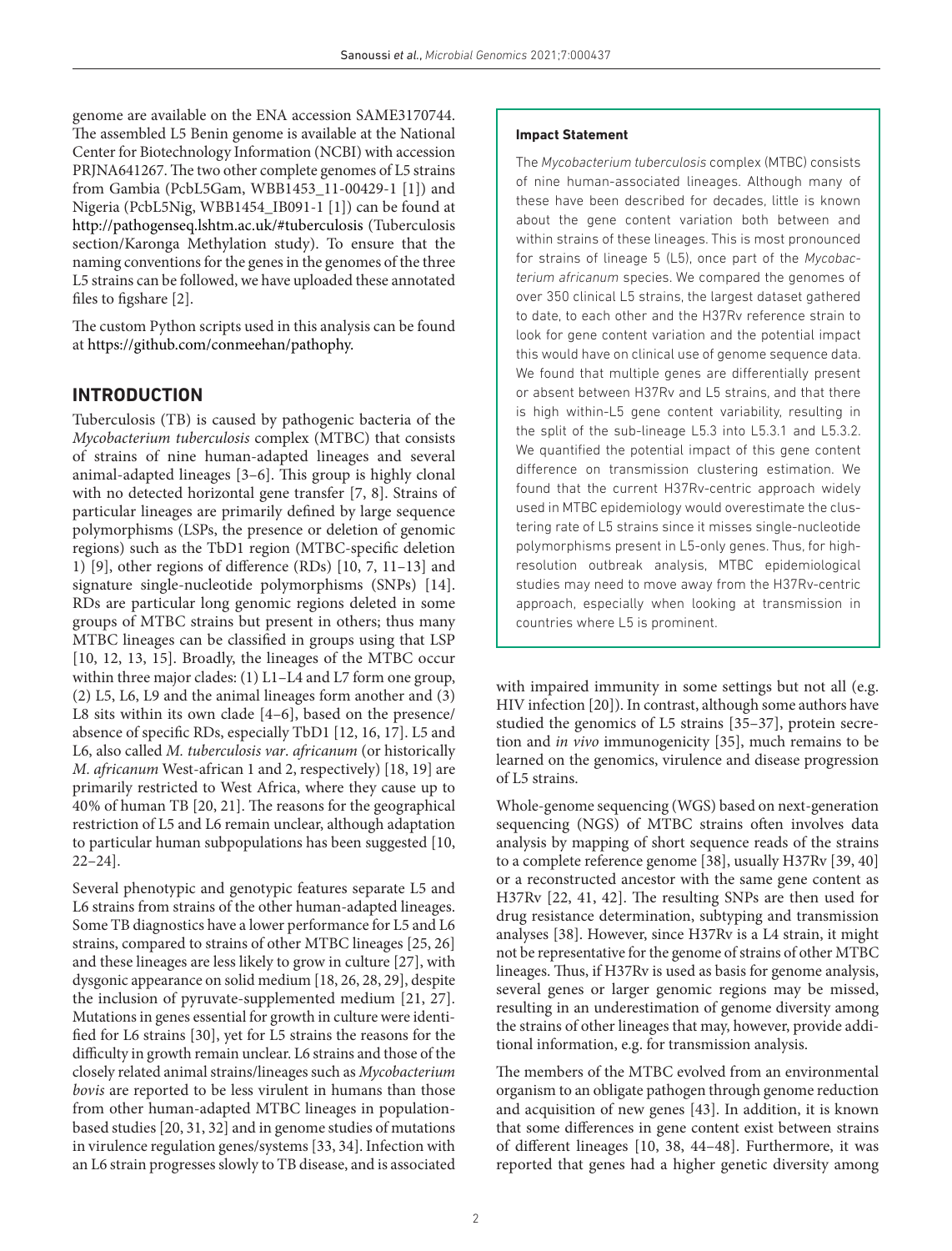genome are available on the ENA accession SAME3170744. The assembled L5 Benin genome is available at the National Center for Biotechnology Information (NCBI) with accession PRJNA641267. The two other complete genomes of L5 strains from Gambia (PcbL5Gam, WBB1453\_11-00429-1 [[1\]](#page-12-0)) and Nigeria (PcbL5Nig, WBB1454\_IB091-1 [[1](#page-12-0)]) can be found at <http://pathogenseq.lshtm.ac.uk/#tuberculosis> (Tuberculosis section/Karonga Methylation study). To ensure that the naming conventions for the genes in the genomes of the three L5 strains can be followed, we have uploaded these annotated files to figshare [[2](#page-12-1)].

The custom Python scripts used in this analysis can be found at [https://github.com/conmeehan/pathophy.](https://github.com/conmeehan/pathophy)

# **INTRODUCTION**

Tuberculosis (TB) is caused by pathogenic bacteria of the *Mycobacterium tuberculosis* complex (MTBC) that consists of strains of nine human-adapted lineages and several animal-adapted lineages [[3–6\]](#page-12-2). This group is highly clonal with no detected horizontal gene transfer [\[7, 8](#page-12-3)]. Strains of particular lineages are primarily defined by large sequence polymorphisms (LSPs, the presence or deletion of genomic regions) such as the TbD1 region (MTBC-specific deletion 1) [\[9\]](#page-12-4), other regions of difference (RDs) [\[10,](#page-12-5) [7, 11–13](#page-12-3)] and signature single-nucleotide polymorphisms (SNPs) [\[14](#page-12-6)]. RDs are particular long genomic regions deleted in some groups of MTBC strains but present in others; thus many MTBC lineages can be classified in groups using that LSP [[10,](#page-12-5) [12, 13, 15\]](#page-12-7). Broadly, the lineages of the MTBC occur within three major clades: (1) L1–L4 and L7 form one group, (2) L5, L6, L9 and the animal lineages form another and (3) L8 sits within its own clade [[4–6\]](#page-12-8), based on the presence/ absence of specific RDs, especially TbD1 [\[12, 16, 17\]](#page-12-7). L5 and L6, also called *M. tuberculosis var*. *africanum* (or historically *M. africanum* West-african 1 and 2, respectively) [[18, 19](#page-12-9)] are primarily restricted to West Africa, where they cause up to 40% of human TB [[20, 21\]](#page-12-10). The reasons for the geographical restriction of L5 and L6 remain unclear, although adaptation to particular human subpopulations has been suggested [\[10,](#page-12-5) [22–24\]](#page-12-11).

Several phenotypic and genotypic features separate L5 and L6 strains from strains of the other human-adapted lineages. Some TB diagnostics have a lower performance for L5 and L6 strains, compared to strains of other MTBC lineages [[25, 26](#page-12-12)] and these lineages are less likely to grow in culture [[27](#page-12-13)], with dysgonic appearance on solid medium [[18, 26, 28, 29\]](#page-12-9), despite the inclusion of pyruvate-supplemented medium [[21, 27](#page-12-14)]. Mutations in genes essential for growth in culture were identified for L6 strains [\[30\]](#page-12-15), yet for L5 strains the reasons for the difficulty in growth remain unclear. L6 strains and those of the closely related animal strains/lineages such as *Mycobacterium bovis* are reported to be less virulent in humans than those from other human-adapted MTBC lineages in populationbased studies [[20,](#page-12-10) [31, 32\]](#page-12-16) and in genome studies of mutations in virulence regulation genes/systems [\[33, 34](#page-13-0)]. Infection with an L6 strain progresses slowly to TB disease, and is associated

### **Impact Statement**

The *Mycobacterium tuberculosis* complex (MTBC) consists of nine human-associated lineages. Although many of these have been described for decades, little is known about the gene content variation both between and within strains of these lineages. This is most pronounced for strains of lineage 5 (L5), once part of the *Mycobacterium africanum* species. We compared the genomes of over 350 clinical L5 strains, the largest dataset gathered to date, to each other and the H37Rv reference strain to look for gene content variation and the potential impact this would have on clinical use of genome sequence data. We found that multiple genes are differentially present or absent between H37Rv and L5 strains, and that there is high within-L5 gene content variability, resulting in the split of the sub-lineage L5.3 into L5.3.1 and L5.3.2. We quantified the potential impact of this gene content difference on transmission clustering estimation. We found that the current H37Rv-centric approach widely used in MTBC epidemiology would overestimate the clustering rate of L5 strains since it misses single-nucleotide polymorphisms present in L5-only genes. Thus, for highresolution outbreak analysis, MTBC epidemiological studies may need to move away from the H37Rv-centric approach, especially when looking at transmission in countries where L5 is prominent.

with impaired immunity in some settings but not all (e.g. HIV infection [\[20](#page-12-10)]). In contrast, although some authors have studied the genomics of L5 strains [\[35–37](#page-13-1)], protein secretion and *in vivo* immunogenicity [\[35\]](#page-13-1), much remains to be learned on the genomics, virulence and disease progression of L5 strains.

Whole-genome sequencing (WGS) based on next-generation sequencing (NGS) of MTBC strains often involves data analysis by mapping of short sequence reads of the strains to a complete reference genome [[38](#page-13-2)], usually H37Rv [[39, 40](#page-13-3)] or a reconstructed ancestor with the same gene content as H37Rv [[22, 41, 42](#page-12-11)]. The resulting SNPs are then used for drug resistance determination, subtyping and transmission analyses [\[38](#page-13-2)]. However, since H37Rv is a L4 strain, it might not be representative for the genome of strains of other MTBC lineages. Thus, if H37Rv is used as basis for genome analysis, several genes or larger genomic regions may be missed, resulting in an underestimation of genome diversity among the strains of other lineages that may, however, provide additional information, e.g. for transmission analysis.

The members of the MTBC evolved from an environmental organism to an obligate pathogen through genome reduction and acquisition of new genes [[43\]](#page-13-4). In addition, it is known that some differences in gene content exist between strains of different lineages [\[10](#page-12-5), [38, 44–48\]](#page-13-2). Furthermore, it was reported that genes had a higher genetic diversity among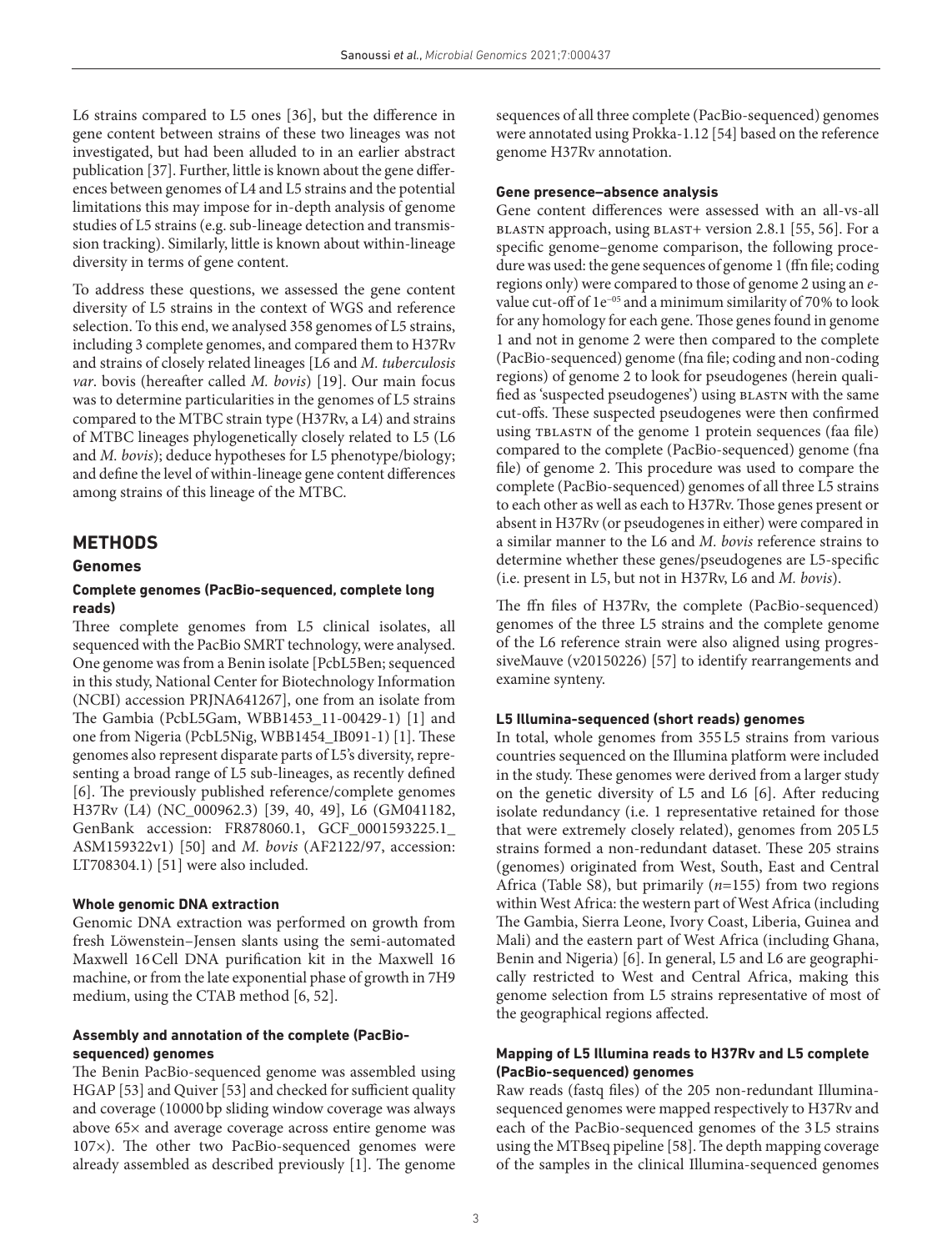L6 strains compared to L5 ones [\[36](#page-13-5)], but the difference in gene content between strains of these two lineages was not investigated, but had been alluded to in an earlier abstract publication [\[37\]](#page-13-6). Further, little is known about the gene differences between genomes of L4 and L5 strains and the potential limitations this may impose for in-depth analysis of genome studies of L5 strains (e.g. sub-lineage detection and transmission tracking). Similarly, little is known about within-lineage diversity in terms of gene content.

To address these questions, we assessed the gene content diversity of L5 strains in the context of WGS and reference selection. To this end, we analysed 358 genomes of L5 strains, including 3 complete genomes, and compared them to H37Rv and strains of closely related lineages [L6 and *M. tuberculosis var*. bovis (hereafter called *M. bovis*) [\[19](#page-12-17)]. Our main focus was to determine particularities in the genomes of L5 strains compared to the MTBC strain type (H37Rv, a L4) and strains of MTBC lineages phylogenetically closely related to L5 (L6 and *M. bovis*); deduce hypotheses for L5 phenotype/biology; and define the level of within-lineage gene content differences among strains of this lineage of the MTBC.

### **METHODS**

#### **Genomes**

### **Complete genomes (PacBio-sequenced, complete long reads)**

Three complete genomes from L5 clinical isolates, all sequenced with the PacBio SMRT technology, were analysed. One genome was from a Benin isolate [PcbL5Ben; sequenced in this study, National Center for Biotechnology Information (NCBI) accession PRJNA641267], one from an isolate from The Gambia (PcbL5Gam, WBB1453\_11-00429-1) [[1\]](#page-12-0) and one from Nigeria (PcbL5Nig, WBB1454\_IB091-1) [\[1](#page-12-0)]. These genomes also represent disparate parts of L5's diversity, representing a broad range of L5 sub-lineages, as recently defined [[6\]](#page-12-18). The previously published reference/complete genomes H37Rv (L4) (NC\_000962.3) [[39, 40, 49\]](#page-13-3), L6 (GM041182, GenBank accession: FR878060.1, GCF\_0001593225.1\_ ASM159322v1) [[50](#page-13-7)] and *M. bovis* (AF2122/97, accession: LT708304.1) [\[51\]](#page-13-8) were also included.

#### **Whole genomic DNA extraction**

Genomic DNA extraction was performed on growth from fresh Löwenstein–Jensen slants using the semi-automated Maxwell 16Cell DNA purification kit in the Maxwell 16 machine, or from the late exponential phase of growth in 7H9 medium, using the CTAB method [[6, 52\]](#page-12-18).

## **Assembly and annotation of the complete (PacBiosequenced) genomes**

The Benin PacBio-sequenced genome was assembled using HGAP [[53](#page-13-9)] and Quiver [[53](#page-13-9)] and checked for sufficient quality and coverage (10000bp sliding window coverage was always above 65× and average coverage across entire genome was 107×). The other two PacBio-sequenced genomes were already assembled as described previously [[1\]](#page-12-0). The genome

sequences of all three complete (PacBio-sequenced) genomes were annotated using Prokka-1.12 [[54](#page-13-10)] based on the reference genome H37Rv annotation.

### **Gene presence–absence analysis**

Gene content differences were assessed with an all-vs-all blastn approach, using blast+ version 2.8.1 [[55, 56](#page-13-11)]. For a specific genome–genome comparison, the following procedure was used: the gene sequences of genome 1 (ffn file; coding regions only) were compared to those of genome 2 using an *e*value cut-off of 1e−05 and a minimum similarity of 70% to look for any homology for each gene. Those genes found in genome 1 and not in genome 2 were then compared to the complete (PacBio-sequenced) genome (fna file; coding and non-coding regions) of genome 2 to look for pseudogenes (herein qualified as 'suspected pseudogenes') using blastn with the same cut-offs. These suspected pseudogenes were then confirmed using TBLASTN of the genome 1 protein sequences (faa file) compared to the complete (PacBio-sequenced) genome (fna file) of genome 2. This procedure was used to compare the complete (PacBio-sequenced) genomes of all three L5 strains to each other as well as each to H37Rv. Those genes present or absent in H37Rv (or pseudogenes in either) were compared in a similar manner to the L6 and *M. bovis* reference strains to determine whether these genes/pseudogenes are L5-specific (i.e. present in L5, but not in H37Rv, L6 and *M. bovis*).

The ffn files of H37Rv, the complete (PacBio-sequenced) genomes of the three L5 strains and the complete genome of the L6 reference strain were also aligned using progressiveMauve (v20150226) [[57](#page-13-12)] to identify rearrangements and examine synteny.

#### **L5 Illumina-sequenced (short reads) genomes**

In total, whole genomes from 355L5 strains from various countries sequenced on the Illumina platform were included in the study. These genomes were derived from a larger study on the genetic diversity of L5 and L6 [[6\]](#page-12-18). After reducing isolate redundancy (i.e. 1 representative retained for those that were extremely closely related), genomes from 205L5 strains formed a non-redundant dataset. These 205 strains (genomes) originated from West, South, East and Central Africa (Table S8), but primarily (*n*=155) from two regions within West Africa: the western part of West Africa (including The Gambia, Sierra Leone, Ivory Coast, Liberia, Guinea and Mali) and the eastern part of West Africa (including Ghana, Benin and Nigeria) [[6](#page-12-18)]. In general, L5 and L6 are geographically restricted to West and Central Africa, making this genome selection from L5 strains representative of most of the geographical regions affected.

### **Mapping of L5 Illumina reads to H37Rv and L5 complete (PacBio-sequenced) genomes**

Raw reads (fastq files) of the 205 non-redundant Illuminasequenced genomes were mapped respectively to H37Rv and each of the PacBio-sequenced genomes of the 3L5 strains using the MTBseq pipeline [[58](#page-13-13)]. The depth mapping coverage of the samples in the clinical Illumina-sequenced genomes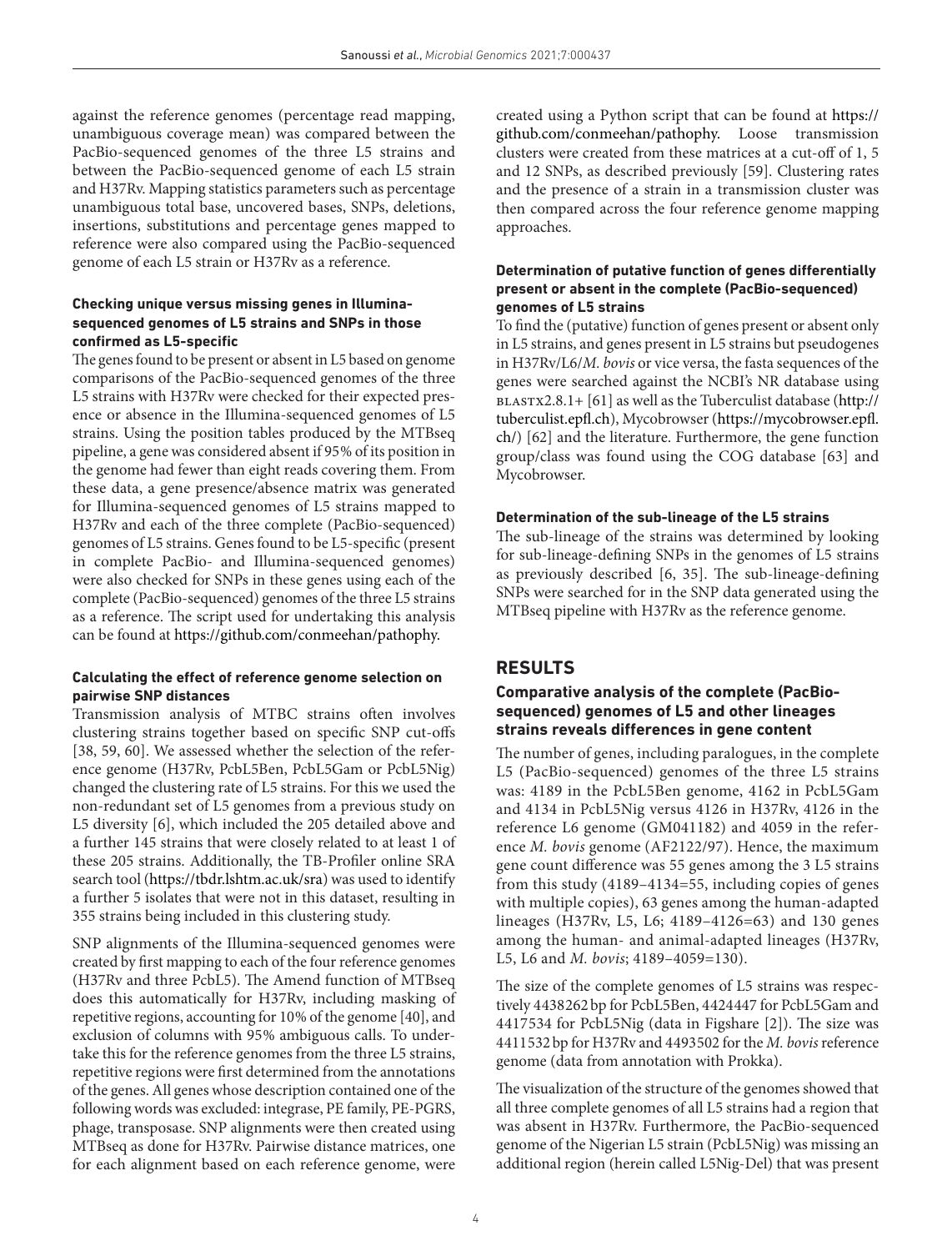against the reference genomes (percentage read mapping, unambiguous coverage mean) was compared between the PacBio-sequenced genomes of the three L5 strains and between the PacBio-sequenced genome of each L5 strain and H37Rv. Mapping statistics parameters such as percentage unambiguous total base, uncovered bases, SNPs, deletions, insertions, substitutions and percentage genes mapped to reference were also compared using the PacBio-sequenced genome of each L5 strain or H37Rv as a reference.

### **Checking unique versus missing genes in Illuminasequenced genomes of L5 strains and SNPs in those confirmed as L5-specific**

The genes found to be present or absent in L5 based on genome comparisons of the PacBio-sequenced genomes of the three L5 strains with H37Rv were checked for their expected presence or absence in the Illumina-sequenced genomes of L5 strains. Using the position tables produced by the MTBseq pipeline, a gene was considered absent if 95% of its position in the genome had fewer than eight reads covering them. From these data, a gene presence/absence matrix was generated for Illumina-sequenced genomes of L5 strains mapped to H37Rv and each of the three complete (PacBio-sequenced) genomes of L5 strains. Genes found to be L5-specific (present in complete PacBio- and Illumina-sequenced genomes) were also checked for SNPs in these genes using each of the complete (PacBio-sequenced) genomes of the three L5 strains as a reference. The script used for undertaking this analysis can be found at [https://github.com/conmeehan/pathophy.](https://github.com/conmeehan/pathophy)

# **Calculating the effect of reference genome selection on pairwise SNP distances**

Transmission analysis of MTBC strains often involves clustering strains together based on specific SNP cut-offs [[38, 59, 60\]](#page-13-2). We assessed whether the selection of the reference genome (H37Rv, PcbL5Ben, PcbL5Gam or PcbL5Nig) changed the clustering rate of L5 strains. For this we used the non-redundant set of L5 genomes from a previous study on L5 diversity [[6\]](#page-12-18), which included the 205 detailed above and a further 145 strains that were closely related to at least 1 of these 205 strains. Additionally, the TB-Profiler online SRA search tool [\(https://tbdr.lshtm.ac.uk/sra\)](https://tbdr.lshtm.ac.uk/sra) was used to identify a further 5 isolates that were not in this dataset, resulting in 355 strains being included in this clustering study.

SNP alignments of the Illumina-sequenced genomes were created by first mapping to each of the four reference genomes (H37Rv and three PcbL5). The Amend function of MTBseq does this automatically for H37Rv, including masking of repetitive regions, accounting for 10% of the genome [\[40\]](#page-13-14), and exclusion of columns with 95% ambiguous calls. To undertake this for the reference genomes from the three L5 strains, repetitive regions were first determined from the annotations of the genes. All genes whose description contained one of the following words was excluded: integrase, PE family, PE-PGRS, phage, transposase. SNP alignments were then created using MTBseq as done for H37Rv. Pairwise distance matrices, one for each alignment based on each reference genome, were

created using a Python script that can be found at [https://](https://github.com/conmeehan/pathophy) [github.com/conmeehan/pathophy.](https://github.com/conmeehan/pathophy) Loose transmission clusters were created from these matrices at a cut-off of 1, 5 and 12 SNPs, as described previously [[59\]](#page-13-15). Clustering rates and the presence of a strain in a transmission cluster was then compared across the four reference genome mapping approaches.

## **Determination of putative function of genes differentially present or absent in the complete (PacBio-sequenced) genomes of L5 strains**

To find the (putative) function of genes present or absent only in L5 strains, and genes present in L5 strains but pseudogenes in H37Rv/L6/*M. bovis* or vice versa, the fasta sequences of the genes were searched against the NCBI's NR database using blastx2.8.1+ [[61](#page-13-16)] as well as the Tuberculist database ([http://](http://tuberculist.epfl.ch) [tuberculist.epfl.ch\)](http://tuberculist.epfl.ch), Mycobrowser ([https://mycobrowser.epfl.](https://mycobrowser.epfl.ch/) [ch/](https://mycobrowser.epfl.ch/)) [[62](#page-13-17)] and the literature. Furthermore, the gene function group/class was found using the COG database [[63](#page-13-18)] and Mycobrowser.

## **Determination of the sub-lineage of the L5 strains**

The sub-lineage of the strains was determined by looking for sub-lineage-defining SNPs in the genomes of L5 strains as previously described [[6, 35\]](#page-12-18). The sub-lineage-defining SNPs were searched for in the SNP data generated using the MTBseq pipeline with H37Rv as the reference genome.

# **RESULTS**

## **Comparative analysis of the complete (PacBiosequenced) genomes of L5 and other lineages strains reveals differences in gene content**

The number of genes, including paralogues, in the complete L5 (PacBio-sequenced) genomes of the three L5 strains was: 4189 in the PcbL5Ben genome, 4162 in PcbL5Gam and 4134 in PcbL5Nig versus 4126 in H37Rv, 4126 in the reference L6 genome (GM041182) and 4059 in the reference *M. bovis* genome (AF2122/97). Hence, the maximum gene count difference was 55 genes among the 3 L5 strains from this study (4189–4134=55, including copies of genes with multiple copies), 63 genes among the human-adapted lineages (H37Rv, L5, L6; 4189–4126=63) and 130 genes among the human- and animal-adapted lineages (H37Rv, L5, L6 and *M. bovis*; 4189–4059=130).

The size of the complete genomes of L5 strains was respectively 4438262bp for PcbL5Ben, 4424447 for PcbL5Gam and 4417534 for PcbL5Nig (data in Figshare [[2](#page-12-1)]). The size was 4411532bp for H37Rv and 4493502 for the *M. bovis* reference genome (data from annotation with Prokka).

The visualization of the structure of the genomes showed that all three complete genomes of all L5 strains had a region that was absent in H37Rv. Furthermore, the PacBio-sequenced genome of the Nigerian L5 strain (PcbL5Nig) was missing an additional region (herein called L5Nig-Del) that was present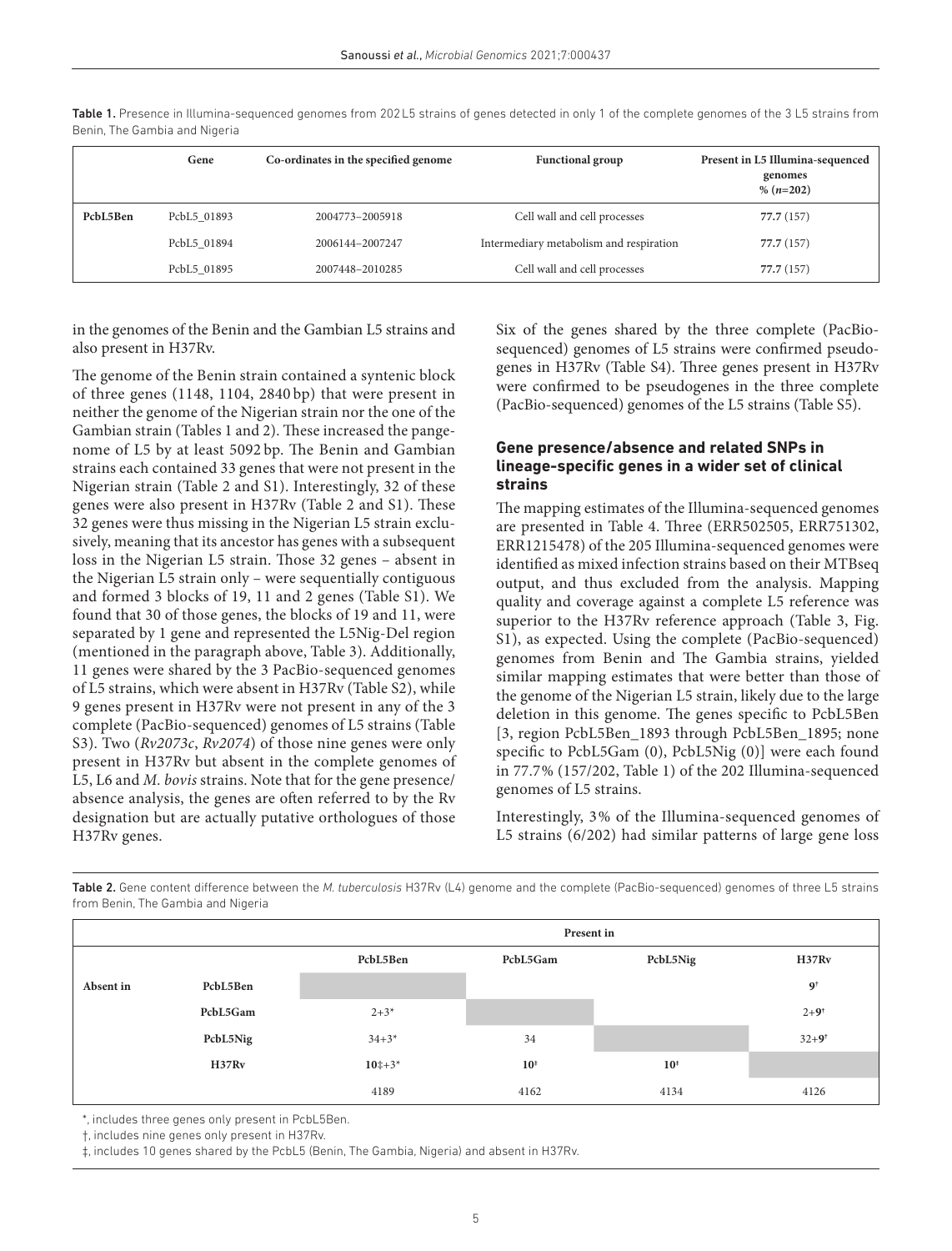|          | Gene        | Co-ordinates in the specified genome | <b>Functional group</b>                 | Present in L5 Illumina-sequenced<br>genomes<br>$% (n=202)$ |
|----------|-------------|--------------------------------------|-----------------------------------------|------------------------------------------------------------|
| PcbL5Ben | PcbL5 01893 | 2004773-2005918                      | Cell wall and cell processes            | 77.7 (157)                                                 |
|          | PcbL5 01894 | 2006144-2007247                      | Intermediary metabolism and respiration | 77.7 (157)                                                 |
|          | PcbL5 01895 | 2007448-2010285                      | Cell wall and cell processes            | 77.7 (157)                                                 |

<span id="page-4-0"></span>Table 1. Presence in Illumina-sequenced genomes from 202L5 strains of genes detected in only 1 of the complete genomes of the 3 L5 strains from Benin, The Gambia and Nigeria

in the genomes of the Benin and the Gambian L5 strains and also present in H37Rv.

The genome of the Benin strain contained a syntenic block of three genes (1148, 1104, 2840 bp) that were present in neither the genome of the Nigerian strain nor the one of the Gambian strain [\(Tables 1 and 2](#page-4-0)). These increased the pangenome of L5 by at least 5092 bp. The Benin and Gambian strains each contained 33 genes that were not present in the Nigerian strain [\(Table 2](#page-4-1) and S1). Interestingly, 32 of these genes were also present in H37Rv ([Table 2](#page-4-1) and S1). These 32 genes were thus missing in the Nigerian L5 strain exclusively, meaning that its ancestor has genes with a subsequent loss in the Nigerian L5 strain. Those 32 genes – absent in the Nigerian L5 strain only – were sequentially contiguous and formed 3 blocks of 19, 11 and 2 genes (Table S1). We found that 30 of those genes, the blocks of 19 and 11, were separated by 1 gene and represented the L5Nig-Del region (mentioned in the paragraph above, [Table 3](#page-5-0)). Additionally, 11 genes were shared by the 3 PacBio-sequenced genomes of L5 strains, which were absent in H37Rv (Table S2), while 9 genes present in H37Rv were not present in any of the 3 complete (PacBio-sequenced) genomes of L5 strains (Table S3). Two (*Rv2073c*, *Rv2074*) of those nine genes were only present in H37Rv but absent in the complete genomes of L5, L6 and *M. bovis* strains. Note that for the gene presence/ absence analysis, the genes are often referred to by the Rv designation but are actually putative orthologues of those H37Rv genes.

Six of the genes shared by the three complete (PacBiosequenced) genomes of L5 strains were confirmed pseudogenes in H37Rv (Table S4). Three genes present in H37Rv were confirmed to be pseudogenes in the three complete (PacBio-sequenced) genomes of the L5 strains (Table S5).

### **Gene presence/absence and related SNPs in lineage-specific genes in a wider set of clinical strains**

The mapping estimates of the Illumina-sequenced genomes are presented in [Table 4.](#page-6-0) Three (ERR502505, ERR751302, ERR1215478) of the 205 Illumina-sequenced genomes were identified as mixed infection strains based on their MTBseq output, and thus excluded from the analysis. Mapping quality and coverage against a complete L5 reference was superior to the H37Rv reference approach (Table 3, Fig. S1), as expected. Using the complete (PacBio-sequenced) genomes from Benin and The Gambia strains, yielded similar mapping estimates that were better than those of the genome of the Nigerian L5 strain, likely due to the large deletion in this genome. The genes specific to PcbL5Ben [3, region PcbL5Ben\_1893 through PcbL5Ben\_1895; none specific to PcbL5Gam (0), PcbL5Nig (0)] were each found in 77.7% (157/202, [Table 1](#page-4-0)) of the 202 Illumina-sequenced genomes of L5 strains.

Interestingly, 3% of the Illumina-sequenced genomes of L5 strains (6/202) had similar patterns of large gene loss

**Present in PcbL5Ben PcbL5Gam PcbL5Nig H37Rv Absent in PcbL5Ben 9† PcbL5Gam** 2+3<sup>\*</sup> 2+9<sup>t</sup> **PcbL5Nig** 34+3\* 34+3\* 34 34+3\* 34 34+3\* 34 **H37Rv 10**‡+3\* **10‡ 10‡** 4189 4162 4134 4126

<span id="page-4-1"></span>Table 2. Gene content difference between the *M. tuberculosis* H37Rv (L4) genome and the complete (PacBio-sequenced) genomes of three L5 strains from Benin, The Gambia and Nigeria

\*, includes three genes only present in PcbL5Ben.

†, includes nine genes only present in H37Rv.

‡, includes 10 genes shared by the PcbL5 (Benin, The Gambia, Nigeria) and absent in H37Rv.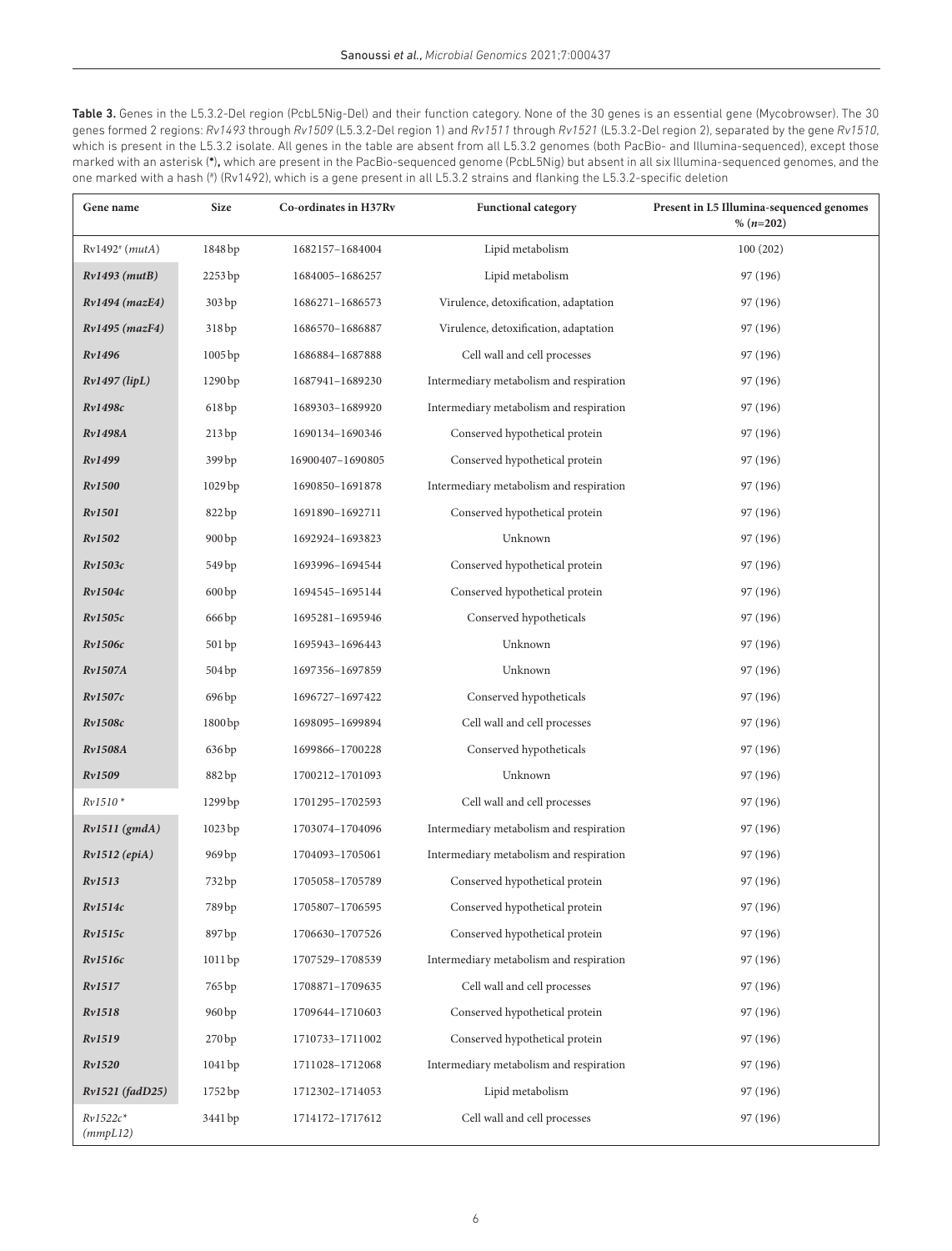<span id="page-5-0"></span>Table 3. Genes in the L5.3.2-Del region (PcbL5Nig-Del) and their function category. None of the 30 genes is an essential gene (Mycobrowser). The 30 genes formed 2 regions: *Rv1493* through *Rv1509* (L5.3.2-Del region 1) and *Rv1511* through *Rv1521* (L5.3.2-Del region 2), separated by the gene *Rv1510*, which is present in the L5.3.2 isolate. All genes in the table are absent from all L5.3.2 genomes (both PacBio- and Illumina-sequenced), except those marked with an asterisk (**\***)**,** which are present in the PacBio-sequenced genome (PcbL5Nig) but absent in all six Illumina-sequenced genomes, and the one marked with a hash (# ) (Rv1492), which is a gene present in all L5.3.2 strains and flanking the L5.3.2-specific deletion

| Gene name              | <b>Size</b>       | Co-ordinates in H37Rv | <b>Functional category</b>              | Present in L5 Illumina-sequenced genomes<br>% $(n=202)$ |
|------------------------|-------------------|-----------------------|-----------------------------------------|---------------------------------------------------------|
| $Rv1492^{\#}$ (mutA)   | 1848 bp           | 1682157-1684004       | Lipid metabolism                        | 100(202)                                                |
| $Rv1493$ ( $mutB$ )    | 2253 bp           | 1684005-1686257       | Lipid metabolism                        | 97 (196)                                                |
| Rv1494 (mazE4)         | 303 bp            | 1686271-1686573       | Virulence, detoxification, adaptation   | 97 (196)                                                |
| Rv1495 (mazF4)         | 318bp             | 1686570-1686887       | Virulence, detoxification, adaptation   | 97 (196)                                                |
| Rv1496                 | 1005bp            | 1686884-1687888       | Cell wall and cell processes            | 97 (196)                                                |
| $Rv1497$ (lipL)        | 1290 bp           | 1687941-1689230       | Intermediary metabolism and respiration | 97 (196)                                                |
| Rv1498c                | 618bp             | 1689303-1689920       | Intermediary metabolism and respiration | 97 (196)                                                |
| <b>Rv1498A</b>         | 213bp             | 1690134-1690346       | Conserved hypothetical protein          | 97 (196)                                                |
| Rv1499                 | 399 <sub>bp</sub> | 16900407-1690805      | Conserved hypothetical protein          | 97 (196)                                                |
| Rv1500                 | 1029 bp           | 1690850-1691878       | Intermediary metabolism and respiration | 97 (196)                                                |
| <b>Rv1501</b>          | 822 bp            | 1691890-1692711       | Conserved hypothetical protein          | 97 (196)                                                |
| Rv1502                 | 900 <sub>bp</sub> | 1692924-1693823       | Unknown                                 | 97 (196)                                                |
| Rv1503c                | 549 bp            | 1693996-1694544       | Conserved hypothetical protein          | 97 (196)                                                |
| Rv1504c                | 600bp             | 1694545-1695144       | Conserved hypothetical protein          | 97 (196)                                                |
| Rv1505c                | 666 bp            | 1695281-1695946       | Conserved hypotheticals                 | 97 (196)                                                |
| <i>Rv1506c</i>         | 501 bp            | 1695943-1696443       | Unknown                                 | 97 (196)                                                |
| <b>Rv1507A</b>         | 504 bp            | 1697356-1697859       | Unknown                                 | 97 (196)                                                |
| Rv1507c                | 696 bp            | 1696727-1697422       | Conserved hypotheticals                 | 97 (196)                                                |
| Rv1508c                | 1800bp            | 1698095-1699894       | Cell wall and cell processes            | 97 (196)                                                |
| <b>Rv1508A</b>         | 636 bp            | 1699866-1700228       | Conserved hypotheticals                 | 97 (196)                                                |
| Rv1509                 | 882 bp            | 1700212-1701093       | Unknown                                 | 97 (196)                                                |
| $Rv1510*$              | 1299 bp           | 1701295-1702593       | Cell wall and cell processes            | 97 (196)                                                |
| $Rv1511$ (gmdA)        | 1023 bp           | 1703074-1704096       | Intermediary metabolism and respiration | 97 (196)                                                |
| $Rv1512$ (epiA)        | 969 bp            | 1704093-1705061       | Intermediary metabolism and respiration | 97 (196)                                                |
| Rv1513                 | 732 bp            | 1705058-1705789       | Conserved hypothetical protein          | 97 (196)                                                |
| Rv1514c                | 789 bp            | 1705807-1706595       | Conserved hypothetical protein          | 97 (196)                                                |
| Rv1515c                | 897 bp            | 1706630-1707526       | Conserved hypothetical protein          | 97 (196)                                                |
| Rv1516c                | 1011 bp           | 1707529-1708539       | Intermediary metabolism and respiration | 97 (196)                                                |
| Rv1517                 | 765 bp            | 1708871-1709635       | Cell wall and cell processes            | 97 (196)                                                |
| Rv1518                 | 960 <sub>bp</sub> | 1709644-1710603       | Conserved hypothetical protein          | 97 (196)                                                |
| Rv1519                 | 270bp             | 1710733-1711002       | Conserved hypothetical protein          | 97 (196)                                                |
| Rv1520                 | 1041 bp           | 1711028-1712068       | Intermediary metabolism and respiration | 97 (196)                                                |
| Rv1521 (fadD25)        | 1752 bp           | 1712302-1714053       | Lipid metabolism                        | 97 (196)                                                |
| $Rv1522c*$<br>(mmpL12) | 3441 bp           | 1714172-1717612       | Cell wall and cell processes            | 97 (196)                                                |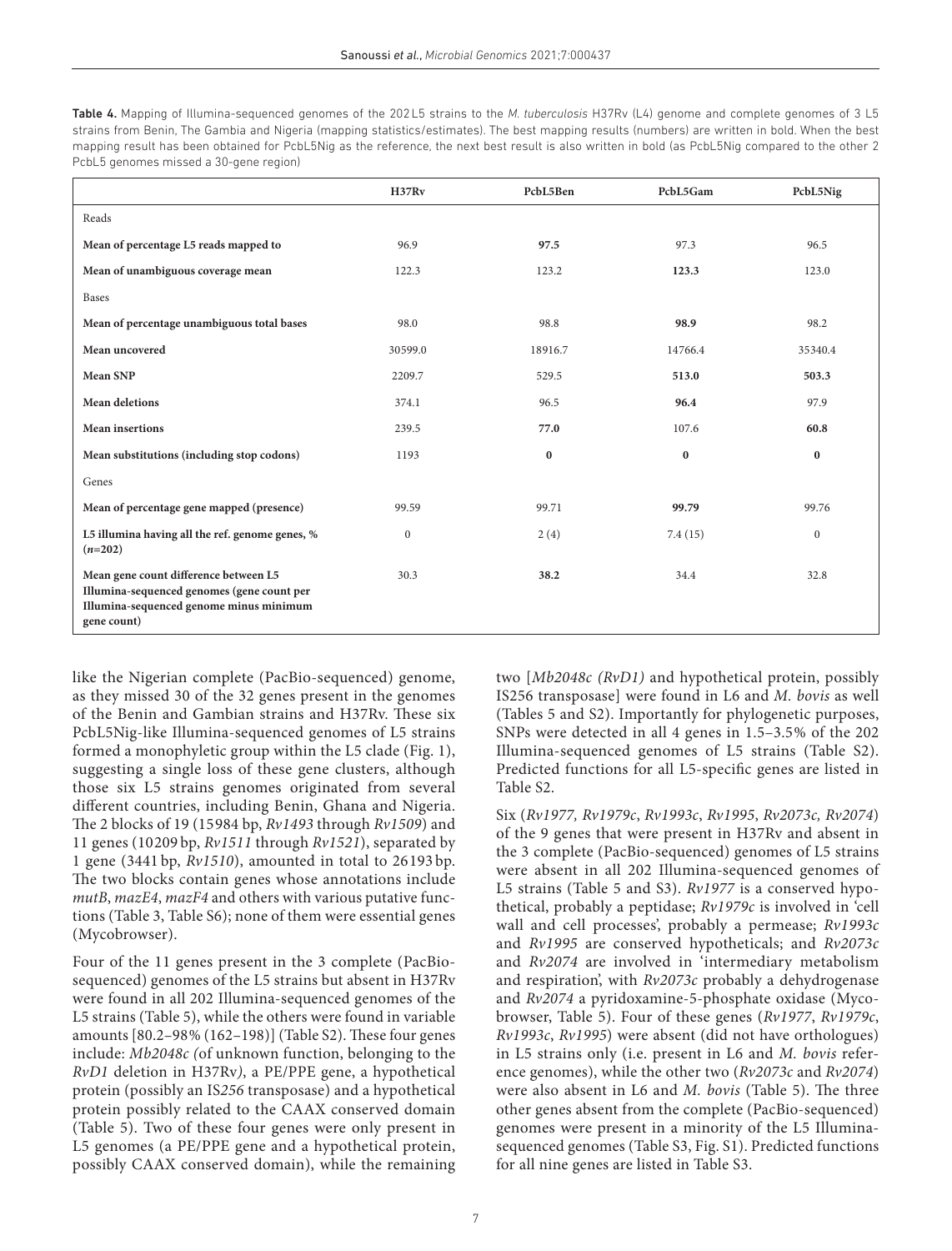<span id="page-6-0"></span>

| <b>Table 4.</b> Mapping of Illumina-sequenced genomes of the 202L5 strains to the <i>M. tuberculosis</i> H37Rv (L4) genome and complete genomes of 3 L5 |
|---------------------------------------------------------------------------------------------------------------------------------------------------------|
| strains from Benin, The Gambia and Nigeria (mapping statistics/estimates). The best mapping results (numbers) are written in bold. When the best        |
| mapping result has been obtained for PcbL5Nig as the reference, the next best result is also written in bold (as PcbL5Nig compared to the other 2       |
| PcbL5 genomes missed a 30-gene region)                                                                                                                  |

|                                                                                                                                               | H37Rv            | PcbL5Ben | PcbL5Gam | PcbL5Nig     |
|-----------------------------------------------------------------------------------------------------------------------------------------------|------------------|----------|----------|--------------|
| Reads                                                                                                                                         |                  |          |          |              |
| Mean of percentage L5 reads mapped to                                                                                                         | 96.9             | 97.5     | 97.3     | 96.5         |
| Mean of unambiguous coverage mean                                                                                                             | 122.3            | 123.2    | 123.3    | 123.0        |
| <b>Bases</b>                                                                                                                                  |                  |          |          |              |
| Mean of percentage unambiguous total bases                                                                                                    | 98.0             | 98.8     | 98.9     | 98.2         |
| Mean uncovered                                                                                                                                | 30599.0          | 18916.7  | 14766.4  | 35340.4      |
| Mean SNP                                                                                                                                      | 2209.7           | 529.5    | 513.0    | 503.3        |
| <b>Mean deletions</b>                                                                                                                         | 374.1            | 96.5     | 96.4     | 97.9         |
| Mean insertions                                                                                                                               | 239.5            | 77.0     | 107.6    | 60.8         |
| Mean substitutions (including stop codons)                                                                                                    | 1193             | $\bf{0}$ | $\bf{0}$ | $\mathbf{0}$ |
| Genes                                                                                                                                         |                  |          |          |              |
| Mean of percentage gene mapped (presence)                                                                                                     | 99.59            | 99.71    | 99.79    | 99.76        |
| L5 illumina having all the ref. genome genes, %<br>$(n=202)$                                                                                  | $\boldsymbol{0}$ | 2(4)     | 7.4(15)  | $\mathbf{0}$ |
| Mean gene count difference between L5<br>Illumina-sequenced genomes (gene count per<br>Illumina-sequenced genome minus minimum<br>gene count) | 30.3             | 38.2     | 34.4     | 32.8         |

like the Nigerian complete (PacBio-sequenced) genome, as they missed 30 of the 32 genes present in the genomes of the Benin and Gambian strains and H37Rv. These six PcbL5Nig-like Illumina-sequenced genomes of L5 strains formed a monophyletic group within the L5 clade ([Fig. 1\)](#page-7-0), suggesting a single loss of these gene clusters, although those six L5 strains genomes originated from several different countries, including Benin, Ghana and Nigeria. The 2 blocks of 19 (15984 bp, *Rv1493* through *Rv1509*) and 11 genes (10209 bp, *Rv1511* through *Rv1521*), separated by 1 gene (3441 bp, *Rv1510*), amounted in total to 26193 bp. The two blocks contain genes whose annotations include *mutB*, *mazE4*, *mazF4* and others with various putative functions ([Table 3,](#page-5-0) Table S6); none of them were essential genes (Mycobrowser).

Four of the 11 genes present in the 3 complete (PacBiosequenced) genomes of the L5 strains but absent in H37Rv were found in all 202 Illumina-sequenced genomes of the L5 strains ([Table 5](#page-8-0)), while the others were found in variable amounts [80.2–98% (162–198)] (Table S2). These four genes include: *Mb2048c (*of unknown function, belonging to the *RvD1* deletion in H37Rv*)*, a PE/PPE gene, a hypothetical protein (possibly an IS*256* transposase) and a hypothetical protein possibly related to the CAAX conserved domain ([Table 5](#page-8-0)). Two of these four genes were only present in L5 genomes (a PE/PPE gene and a hypothetical protein, possibly CAAX conserved domain), while the remaining two [*Mb2048c (RvD1)* and hypothetical protein, possibly IS256 transposase] were found in L6 and *M. bovis* as well ([Tables 5](#page-8-0) and S2). Importantly for phylogenetic purposes, SNPs were detected in all 4 genes in 1.5–3.5% of the 202 Illumina-sequenced genomes of L5 strains (Table S2). Predicted functions for all L5-specific genes are listed in Table S2.

Six (*Rv1977, Rv1979c*, *Rv1993c*, *Rv1995*, *Rv2073c, Rv2074*) of the 9 genes that were present in H37Rv and absent in the 3 complete (PacBio-sequenced) genomes of L5 strains were absent in all 202 Illumina-sequenced genomes of L5 strains [\(Table 5](#page-8-0) and S3). *Rv1977* is a conserved hypothetical, probably a peptidase; *Rv1979c* is involved in 'cell wall and cell processes', probably a permease; *Rv1993c* and *Rv1995* are conserved hypotheticals; and *Rv2073c* and *Rv2074* are involved in 'intermediary metabolism and respiration', with *Rv2073c* probably a dehydrogenase and *Rv2074* a pyridoxamine-5-phosphate oxidase (Mycobrowser, [Table 5](#page-8-0)). Four of these genes (*Rv1977*, *Rv1979c*, *Rv1993c*, *Rv1995*) were absent (did not have orthologues) in L5 strains only (i.e. present in L6 and *M. bovis* reference genomes), while the other two (*Rv2073c* and *Rv2074*) were also absent in L6 and *M. bovis* ([Table 5\)](#page-8-0). The three other genes absent from the complete (PacBio-sequenced) genomes were present in a minority of the L5 Illuminasequenced genomes (Table S3, Fig. S1). Predicted functions for all nine genes are listed in Table S3.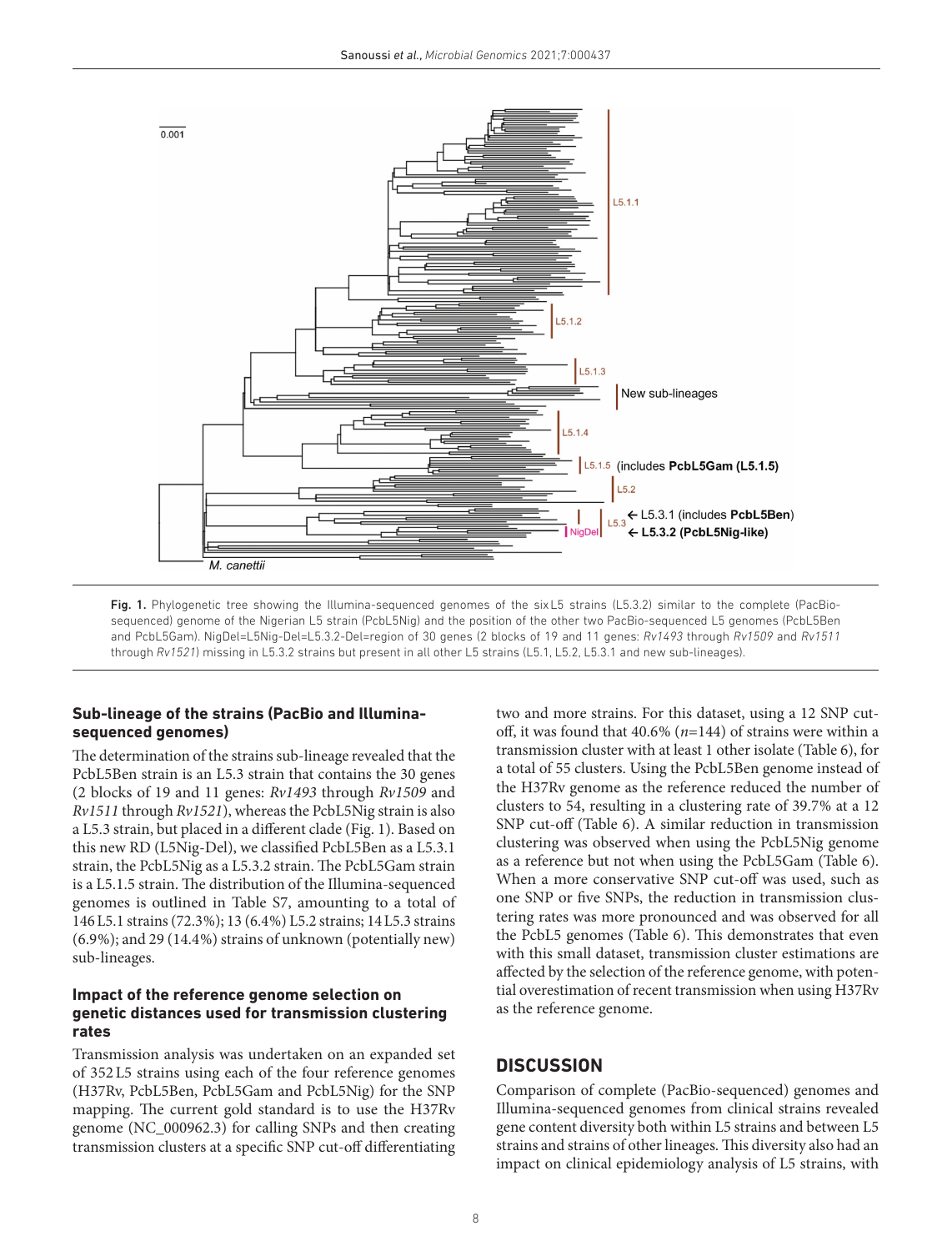

<span id="page-7-0"></span>Fig. 1. Phylogenetic tree showing the Illumina-sequenced genomes of the sixL5 strains (L5.3.2) similar to the complete (PacBiosequenced) genome of the Nigerian L5 strain (PcbL5Nig) and the position of the other two PacBio-sequenced L5 genomes (PcbL5Ben and PcbL5Gam). NigDel=L5Nig-Del=L5.3.2-Del=region of 30 genes (2 blocks of 19 and 11 genes: *Rv1493* through *Rv1509* and *Rv1511* through *Rv1521*) missing in L5.3.2 strains but present in all other L5 strains (L5.1, L5.2, L5.3.1 and new sub-lineages).

# **Sub-lineage of the strains (PacBio and Illuminasequenced genomes)**

The determination of the strains sub-lineage revealed that the PcbL5Ben strain is an L5.3 strain that contains the 30 genes (2 blocks of 19 and 11 genes: *Rv1493* through *Rv1509* and *Rv1511* through *Rv1521*), whereas the PcbL5Nig strain is also a L5.3 strain, but placed in a different clade [\(Fig. 1](#page-7-0)). Based on this new RD (L5Nig-Del), we classified PcbL5Ben as a L5.3.1 strain, the PcbL5Nig as a L5.3.2 strain. The PcbL5Gam strain is a L5.1.5 strain. The distribution of the Illumina-sequenced genomes is outlined in Table S7, amounting to a total of 146L5.1 strains (72.3%); 13 (6.4%) L5.2 strains; 14L5.3 strains (6.9%); and 29 (14.4%) strains of unknown (potentially new) sub-lineages.

### **Impact of the reference genome selection on genetic distances used for transmission clustering rates**

Transmission analysis was undertaken on an expanded set of 352L5 strains using each of the four reference genomes (H37Rv, PcbL5Ben, PcbL5Gam and PcbL5Nig) for the SNP mapping. The current gold standard is to use the H37Rv genome (NC\_000962.3) for calling SNPs and then creating transmission clusters at a specific SNP cut-off differentiating

two and more strains. For this dataset, using a 12 SNP cutoff, it was found that 40.6% (*n*=144) of strains were within a transmission cluster with at least 1 other isolate [\(Table 6\)](#page-9-0), for a total of 55 clusters. Using the PcbL5Ben genome instead of the H37Rv genome as the reference reduced the number of clusters to 54, resulting in a clustering rate of 39.7% at a 12 SNP cut-off ([Table 6](#page-9-0)). A similar reduction in transmission clustering was observed when using the PcbL5Nig genome as a reference but not when using the PcbL5Gam [\(Table 6](#page-9-0)). When a more conservative SNP cut-off was used, such as one SNP or five SNPs, the reduction in transmission clustering rates was more pronounced and was observed for all the PcbL5 genomes ([Table 6\)](#page-9-0). This demonstrates that even with this small dataset, transmission cluster estimations are affected by the selection of the reference genome, with potential overestimation of recent transmission when using H37Rv as the reference genome.

# **DISCUSSION**

Comparison of complete (PacBio-sequenced) genomes and Illumina-sequenced genomes from clinical strains revealed gene content diversity both within L5 strains and between L5 strains and strains of other lineages. This diversity also had an impact on clinical epidemiology analysis of L5 strains, with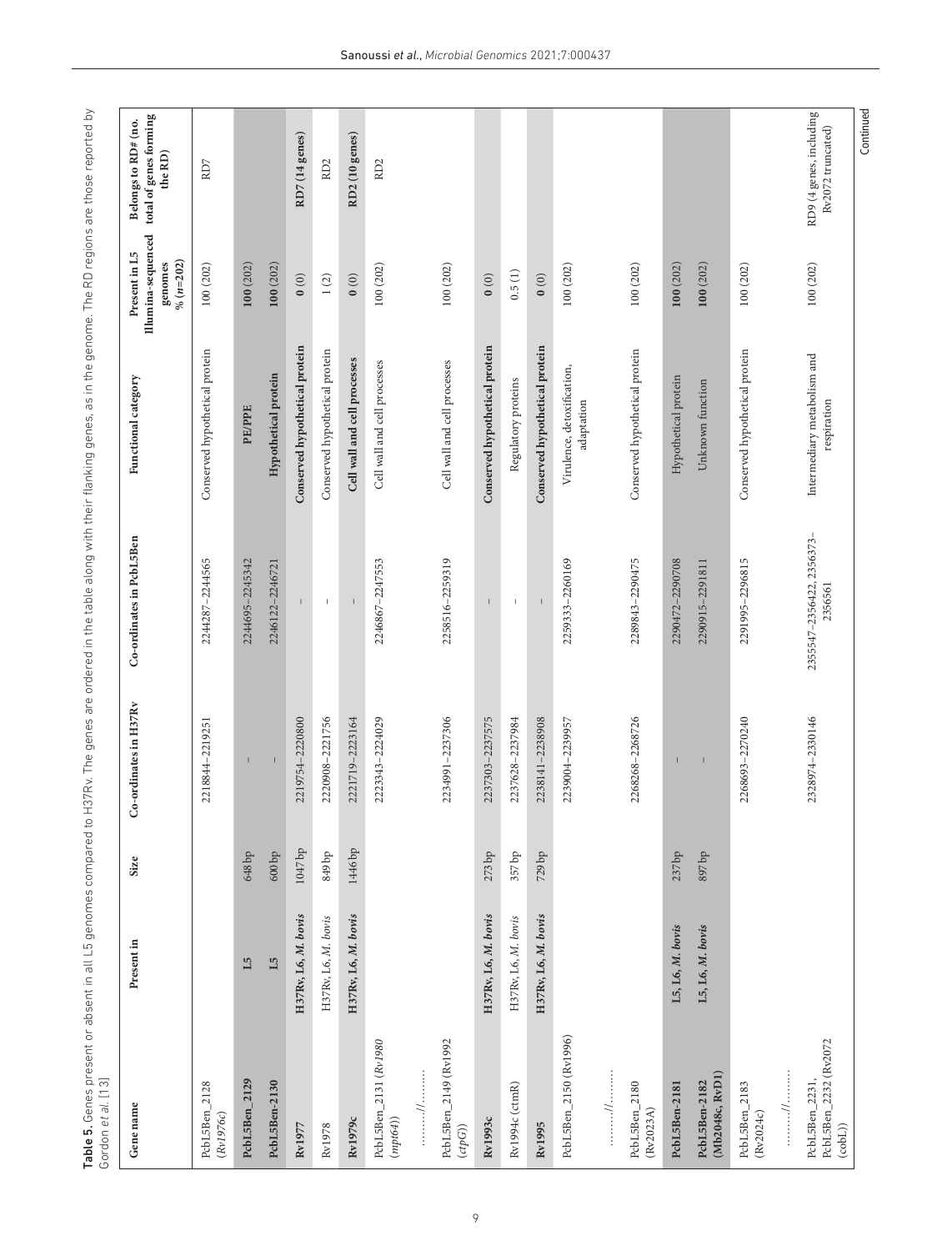<span id="page-8-0"></span>

| Gene name                                          | Present in          | Size                | o-ordinates in H37Rv | Co-ordinates in PcbL5Ben              | Functional category                        | Illumina-sequenced<br>Present in L5<br>$% (n=202)$<br>genomes | total of genes forming<br>Belongs to RD# (no.<br>the RD) |
|----------------------------------------------------|---------------------|---------------------|----------------------|---------------------------------------|--------------------------------------------|---------------------------------------------------------------|----------------------------------------------------------|
| PcbL5Ben_2128<br>(Rv1976c)                         |                     |                     | 2218844-2219251      | 2244287-2244565                       | Conserved hypothetical protein             | 100(202)                                                      | RD7                                                      |
| PcbL5Ben_2129                                      | $\mathbf{L5}$       | $648\,\mathrm{bp}$  |                      | 2244695-2245342                       | <b>PE/PPE</b>                              | 100(202)                                                      |                                                          |
| PcbL5Ben-2130                                      | L5                  | $600\,\mathrm{bp}$  | $\mathsf I$          | 2246122-2246721                       | Hypothetical protein                       | 100(202)                                                      |                                                          |
| Rv1977                                             | H37Rv, L6, M. bovis | $1047\,\mathrm{bp}$ | 2219754-2220800      |                                       | Conserved hypothetical protein             | $\mathbf{0}$ (0)                                              | RD7 (14 genes)                                           |
| Rv1978                                             | H37Rv, L6, M. bovis | $949\,\mathrm{bp}$  | 2220908-2221756      | $\mathbb{L}$                          | Conserved hypothetical protein             | $1\, (2)$                                                     | RD <sub>2</sub>                                          |
| Rv1979c                                            | H37Rv, L6, M. bovis | 1446 bp             | 2221719-2223164      | $\begin{array}{c} \hline \end{array}$ | Cell wall and cell processes               | 0(0)                                                          | RD2 (10 genes)                                           |
| PcbL5Ben_2131 (Rv1980<br>$(mpt64))$                |                     |                     | 2223343-2224029      | 2246867-2247553                       | Cell wall and cell processes               | 100 (202)                                                     | RD <sub>2</sub>                                          |
|                                                    |                     |                     |                      |                                       |                                            |                                                               |                                                          |
| PcbL5Ben_2149 (Rv1992<br>$(\mathit{ctpG}))$        |                     |                     | 2234991-2237306      | 2258516-2259319                       | Cell wall and cell processes               | 100 (202)                                                     |                                                          |
| Rv1993c                                            | H37Rv, L6, M. bovis | 273 bp              | 2237303-2237575      |                                       | Conserved hypothetical protein             | $\mathbf{0}$ $(0)$                                            |                                                          |
| Rv1994c (ctmR)                                     | H37Rv, L6, M. bovis | 357 bp              | 2237628-2237984      | $\mathsf I$                           | Regulatory proteins                        | 0.5(1)                                                        |                                                          |
| Rv1995                                             | H37Rv, L6, M. bovis | 729 bp              | 2238141-2238908      |                                       | Conserved hypothetical protein             | $\mathbf{0}$ $(0)$                                            |                                                          |
| PcbL5Ben_2150 (Rv1996)                             |                     |                     | 2239004-2239957      | 2259333-2260169                       | Virulence, detoxification,<br>adaptation   | 100 (202)                                                     |                                                          |
| $\cdots$                                           |                     |                     |                      |                                       |                                            |                                                               |                                                          |
| PcbL5Ben_2180<br>(Rv2023A)                         |                     |                     | 2268268-2268726      | 2289843-2290475                       | Conserved hypothetical protein             | 100 (202)                                                     |                                                          |
| PcbL5Ben-2181                                      | L5, L6, M. bovis    | 237 bp              |                      | 2290472-2290708                       | Hypothetical protein                       | 100(202)                                                      |                                                          |
| (Mb2048c, RvD1)<br>PcbL5Ben-2182                   | $L5, L6, M.$ bovis  | 897 bp              | $\mathsf I$          | 2290915-2291811                       | Unknown function                           | 100(202)                                                      |                                                          |
| PcbL5Ben_2183<br>(Rv2024c)                         |                     |                     | 2268693-2270240      | 2291995-2296815                       | Conserved hypothetical protein             | 100 (202)                                                     |                                                          |
| //                                                 |                     |                     |                      |                                       |                                            |                                                               |                                                          |
| PcbL5Ben_2232 (Rv2072<br>PcbL5Ben_2231,<br>(cobl.) |                     |                     | 2328974-2330146      | 2355547-2356422, 2356373-<br>2356561  | Intermediary metabolism and<br>respiration | 100 (202)                                                     | RD9 (4 genes, including<br>Rv2072 truncated)             |
|                                                    |                     |                     |                      |                                       |                                            |                                                               | Continued                                                |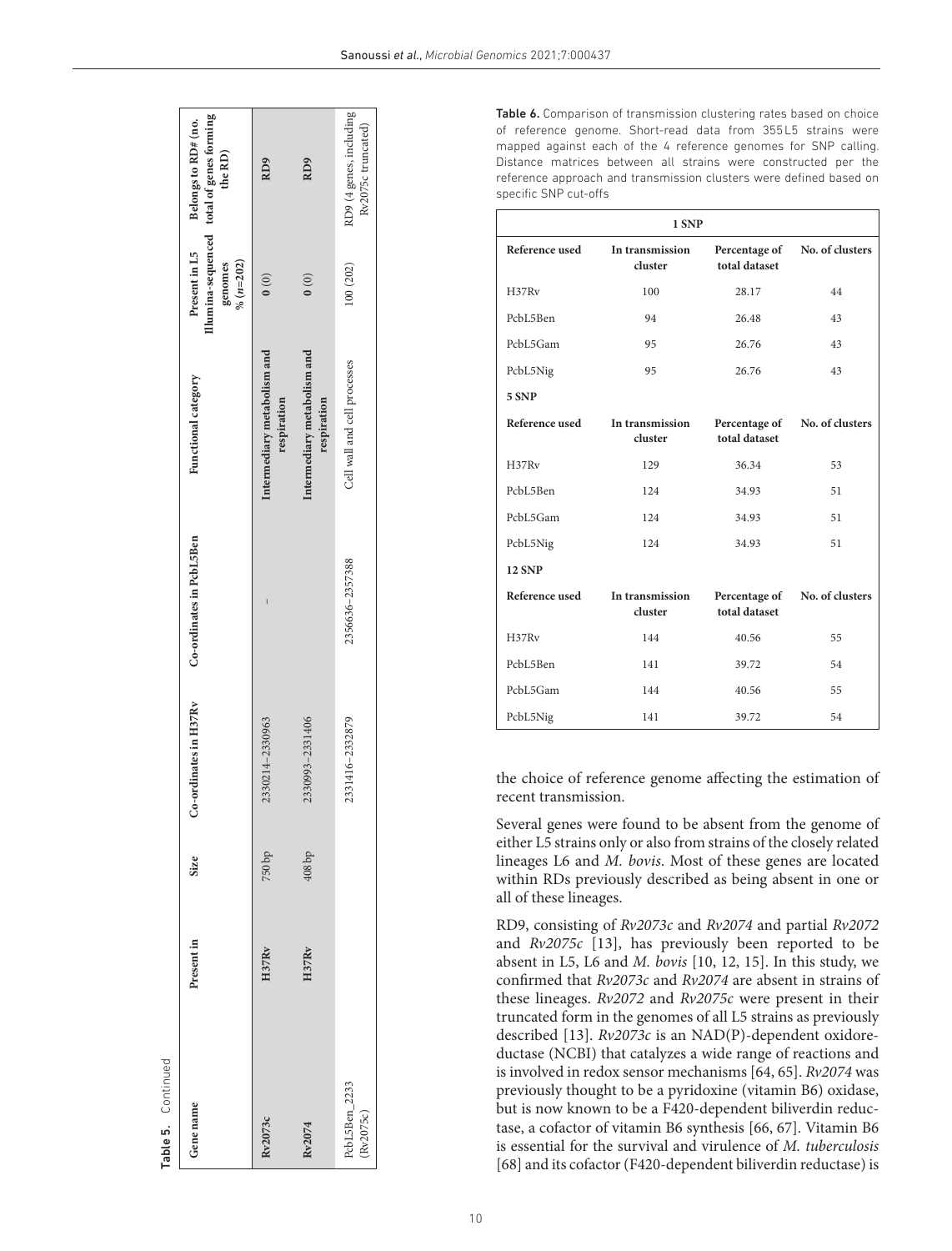|                    | Illumina-sequenced total of genes forming<br>Present in L5 Belongs to RD# (no.<br>the RD)<br>$%$ $(n=202)$<br>genomes<br>Functional category | RD <sub>9</sub><br>$\begin{pmatrix} 0 \\ 0 \end{pmatrix}$<br>Intermediary metabolism and<br>respiration | RD9<br>$\begin{pmatrix} 0 \\ 0 \end{pmatrix}$<br>Intermediary metabolism and<br>respiration | RD9 (4 genes, including<br>Rv2075c truncated)<br>100 (202)<br>Cell wall and cell processes |
|--------------------|----------------------------------------------------------------------------------------------------------------------------------------------|---------------------------------------------------------------------------------------------------------|---------------------------------------------------------------------------------------------|--------------------------------------------------------------------------------------------|
|                    | Co-ordinates in PcbL5Ben                                                                                                                     |                                                                                                         |                                                                                             | 2356636-2357388                                                                            |
|                    | Co-ordinates in H37Rv                                                                                                                        | 2330214-2330963                                                                                         | 2330993-2331406                                                                             | 2331416-2332879                                                                            |
|                    | Size                                                                                                                                         | 750bp                                                                                                   | $408$ bp                                                                                    |                                                                                            |
|                    | Present in                                                                                                                                   | H37Rv                                                                                                   | H37Rv                                                                                       |                                                                                            |
| Table 5. Continued | Gene name                                                                                                                                    | Rv2073c                                                                                                 | Rv2074                                                                                      | PcbL5Ben_2233<br>Rv2075c)                                                                  |

<span id="page-9-0"></span>Table 6. Comparison of transmission clustering rates based on choice of reference genome. Short-read data from 355L5 strains were mapped against each of the 4 reference genomes for SNP calling. Distance matrices between all strains were constructed per the reference approach and transmission clusters were defined based on specific SNP cut-offs

| 1 SNP          |                            |                                |                 |  |  |
|----------------|----------------------------|--------------------------------|-----------------|--|--|
| Reference used | In transmission<br>cluster | Percentage of<br>total dataset | No. of clusters |  |  |
| H37Rv          | 100                        | 28.17                          | 44              |  |  |
| PcbL5Ben       | 94                         | 26.48                          | 43              |  |  |
| PcbL5Gam       | 95                         | 26.76                          | 43              |  |  |
| PcbL5Nig       | 95                         | 26.76                          | 43              |  |  |
| 5 SNP          |                            |                                |                 |  |  |
| Reference used | In transmission<br>cluster | Percentage of<br>total dataset | No. of clusters |  |  |
| H37Rv          | 129                        | 36.34                          | 53              |  |  |
| PcbL5Ben       | 124                        | 34.93                          | 51              |  |  |
| PcbL5Gam       | 124                        | 34.93                          | 51              |  |  |
| PcbL5Nig       | 124                        | 34.93                          | 51              |  |  |
| <b>12 SNP</b>  |                            |                                |                 |  |  |
| Reference used | In transmission<br>cluster | Percentage of<br>total dataset | No. of clusters |  |  |
| H37Rv          | 144                        | 40.56                          | 55              |  |  |
| PcbL5Ben       | 141                        | 39.72                          | 54              |  |  |
| PcbL5Gam       | 144                        | 40.56                          | 55              |  |  |
| PcbL5Nig       | 141                        | 39.72                          | 54              |  |  |

the choice of reference genome affecting the estimation of recent transmission.

Several genes were found to be absent from the genome of either L5 strains only or also from strains of the closely related lineages L6 and *M. bovis*. Most of these genes are located within RDs previously described as being absent in one or all of these lineages.

RD9, consisting of *Rv2073c* and *Rv2074* and partial *Rv2072* and *Rv2075c* [[13](#page-12-19)], has previously been reported to be absent in L5, L6 and *M. bovis* [\[10,](#page-12-5) [12, 15](#page-12-7)]. In this study, we confirmed that *Rv2073c* and *Rv2074* are absent in strains of these lineages. *Rv2072* and *Rv2075c* were present in their truncated form in the genomes of all L5 strains as previously described [[13](#page-12-19)]. *Rv2073c* is an NAD(P)-dependent oxidore ductase (NCBI) that catalyzes a wide range of reactions and is involved in redox sensor mechanisms [[64, 65](#page-13-19)]. *Rv2074* was previously thought to be a pyridoxine (vitamin B6) oxidase, but is now known to be a F420-dependent biliverdin reduc tase, a cofactor of vitamin B6 synthesis [[66, 67\]](#page-13-20). Vitamin B6 is essential for the survival and virulence of *M. tuberculosis* [[68](#page-13-21)] and its cofactor (F420-dependent biliverdin reductase) is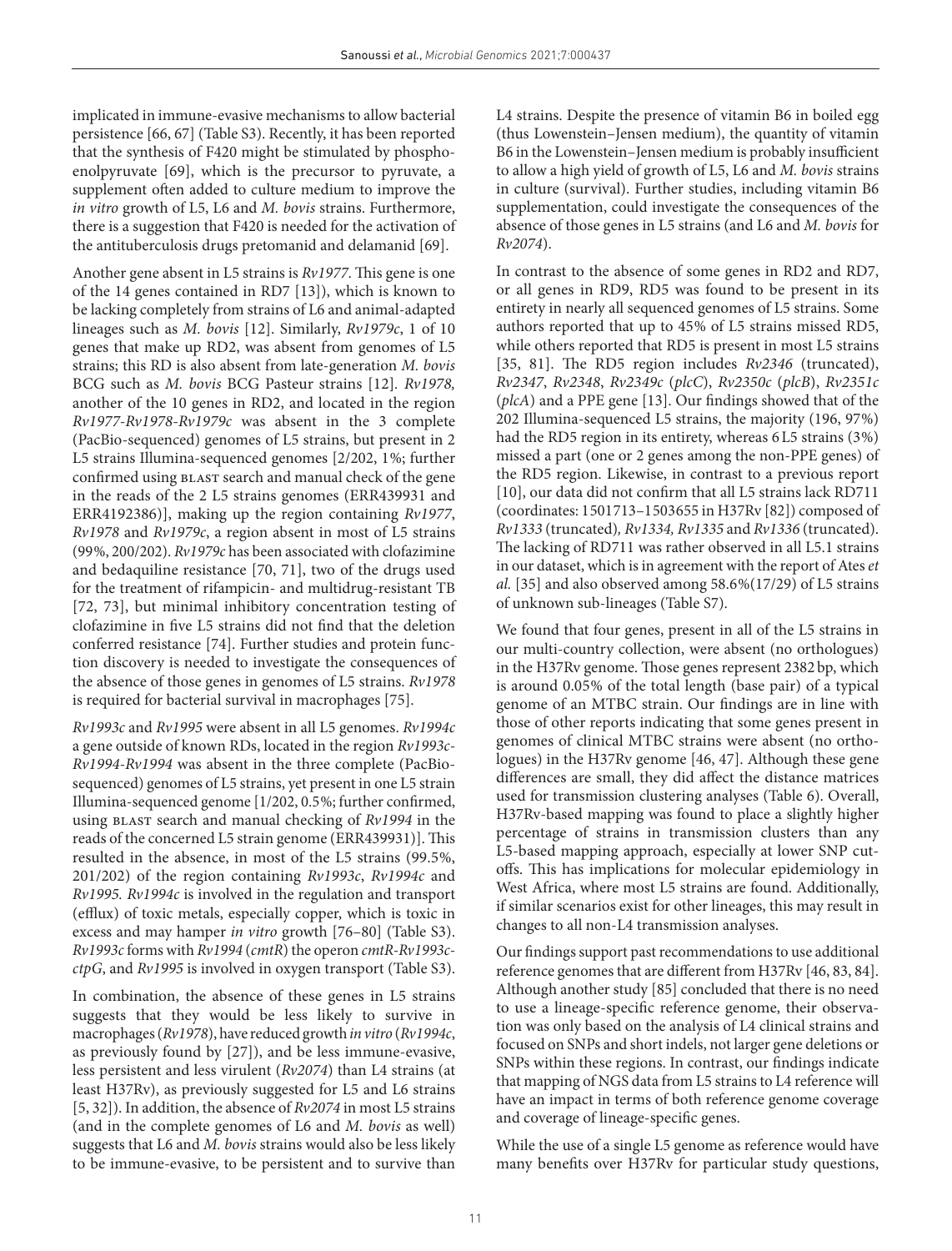implicated in immune-evasive mechanisms to allow bacterial persistence [\[66, 67\]](#page-13-20) (Table S3). Recently, it has been reported that the synthesis of F420 might be stimulated by phosphoenolpyruvate [[69\]](#page-13-22), which is the precursor to pyruvate, a supplement often added to culture medium to improve the *in vitro* growth of L5, L6 and *M. bovis* strains. Furthermore, there is a suggestion that F420 is needed for the activation of the antituberculosis drugs pretomanid and delamanid [[69](#page-13-22)].

Another gene absent in L5 strains is *Rv1977*. This gene is one of the 14 genes contained in RD7 [[13](#page-12-19)]), which is known to be lacking completely from strains of L6 and animal-adapted lineages such as *M. bovis* [\[12](#page-12-7)]. Similarly, *Rv1979c*, 1 of 10 genes that make up RD2, was absent from genomes of L5 strains; this RD is also absent from late-generation *M. bovis* BCG such as *M. bovis* BCG Pasteur strains [[12](#page-12-7)]*. Rv1978,* another of the 10 genes in RD2, and located in the region *Rv1977-Rv1978-Rv1979c* was absent in the 3 complete (PacBio-sequenced) genomes of L5 strains, but present in 2 L5 strains Illumina-sequenced genomes [2/202, 1%; further confirmed using BLAST search and manual check of the gene in the reads of the 2 L5 strains genomes (ERR439931 and ERR4192386)], making up the region containing *Rv1977*, *Rv1978* and *Rv1979c*, a region absent in most of L5 strains (99%, 200/202). *Rv1979c* has been associated with clofazimine and bedaquiline resistance [[70, 71\]](#page-13-23), two of the drugs used for the treatment of rifampicin- and multidrug-resistant TB [[72, 73\]](#page-14-0), but minimal inhibitory concentration testing of clofazimine in five L5 strains did not find that the deletion conferred resistance [\[74\]](#page-14-1). Further studies and protein function discovery is needed to investigate the consequences of the absence of those genes in genomes of L5 strains. *Rv1978* is required for bacterial survival in macrophages [[75](#page-14-2)].

*Rv1993c* and *Rv1995* were absent in all L5 genomes. *Rv1994c* a gene outside of known RDs, located in the region *Rv1993c-Rv1994-Rv1994* was absent in the three complete (PacBiosequenced) genomes of L5 strains, yet present in one L5 strain Illumina-sequenced genome [1/202, 0.5%; further confirmed, using blast search and manual checking of *Rv1994* in the reads of the concerned L5 strain genome (ERR439931)]. This resulted in the absence, in most of the L5 strains (99.5%, 201/202) of the region containing *Rv1993c*, *Rv1994c* and *Rv1995. Rv1994c* is involved in the regulation and transport (efflux) of toxic metals, especially copper, which is toxic in excess and may hamper *in vitro* growth [\[76–80\]](#page-14-3) (Table S3). *Rv1993c* forms with *Rv1994* (*cmtR*) the operon *cmtR-Rv1993cctpG*, and *Rv1995* is involved in oxygen transport (Table S3).

In combination, the absence of these genes in L5 strains suggests that they would be less likely to survive in macrophages (*Rv1978*), have reduced growth *in vitro* (*Rv1994c*, as previously found by [\[27\]](#page-12-13)), and be less immune-evasive, less persistent and less virulent (*Rv2074*) than L4 strains (at least H37Rv), as previously suggested for L5 and L6 strains [[5, 32](#page-12-20)]). In addition, the absence of *Rv2074* in most L5 strains (and in the complete genomes of L6 and *M. bovis* as well) suggests that L6 and *M. bovis* strains would also be less likely to be immune-evasive, to be persistent and to survive than

L4 strains. Despite the presence of vitamin B6 in boiled egg (thus Lowenstein–Jensen medium), the quantity of vitamin B6 in the Lowenstein–Jensen medium is probably insufficient to allow a high yield of growth of L5, L6 and *M. bovis* strains in culture (survival). Further studies, including vitamin B6 supplementation, could investigate the consequences of the absence of those genes in L5 strains (and L6 and *M. bovis* for *Rv2074*).

In contrast to the absence of some genes in RD2 and RD7, or all genes in RD9, RD5 was found to be present in its entirety in nearly all sequenced genomes of L5 strains. Some authors reported that up to 45% of L5 strains missed RD5, while others reported that RD5 is present in most L5 strains [[35, 81\]](#page-13-1). The RD5 region includes *Rv2346* (truncated), *Rv2347*, *Rv2348*, *Rv2349c* (*plcC*), *Rv2350c* (*plcB*), *Rv2351c* (*plcA*) and a PPE gene [[13\]](#page-12-19). Our findings showed that of the 202 Illumina-sequenced L5 strains, the majority (196, 97%) had the RD5 region in its entirety, whereas 6L5 strains (3%) missed a part (one or 2 genes among the non-PPE genes) of the RD5 region. Likewise, in contrast to a previous report [[10](#page-12-5)], our data did not confirm that all L5 strains lack RD711 (coordinates: 1501713–1503655 in H37Rv [[82](#page-14-4)]) composed of *Rv1333* (truncated)*, Rv1334, Rv1335* and *Rv1336* (truncated). The lacking of RD711 was rather observed in all L5.1 strains in our dataset, which is in agreement with the report of Ates *et al.* [[35](#page-13-1)] and also observed among 58.6%(17/29) of L5 strains of unknown sub-lineages (Table S7).

We found that four genes, present in all of the L5 strains in our multi-country collection, were absent (no orthologues) in the H37Rv genome. Those genes represent 2382bp, which is around 0.05% of the total length (base pair) of a typical genome of an MTBC strain. Our findings are in line with those of other reports indicating that some genes present in genomes of clinical MTBC strains were absent (no orthologues) in the H37Rv genome [\[46, 47](#page-13-24)]. Although these gene differences are small, they did affect the distance matrices used for transmission clustering analyses ([Table 6\)](#page-9-0). Overall, H37Rv-based mapping was found to place a slightly higher percentage of strains in transmission clusters than any L5-based mapping approach, especially at lower SNP cutoffs. This has implications for molecular epidemiology in West Africa, where most L5 strains are found. Additionally, if similar scenarios exist for other lineages, this may result in changes to all non-L4 transmission analyses.

Our findings support past recommendations to use additional reference genomes that are different from H37Rv [\[46, 83, 84](#page-13-24)]. Although another study [[85](#page-14-5)] concluded that there is no need to use a lineage-specific reference genome, their observation was only based on the analysis of L4 clinical strains and focused on SNPs and short indels, not larger gene deletions or SNPs within these regions. In contrast, our findings indicate that mapping of NGS data from L5 strains to L4 reference will have an impact in terms of both reference genome coverage and coverage of lineage-specific genes.

While the use of a single L5 genome as reference would have many benefits over H37Rv for particular study questions,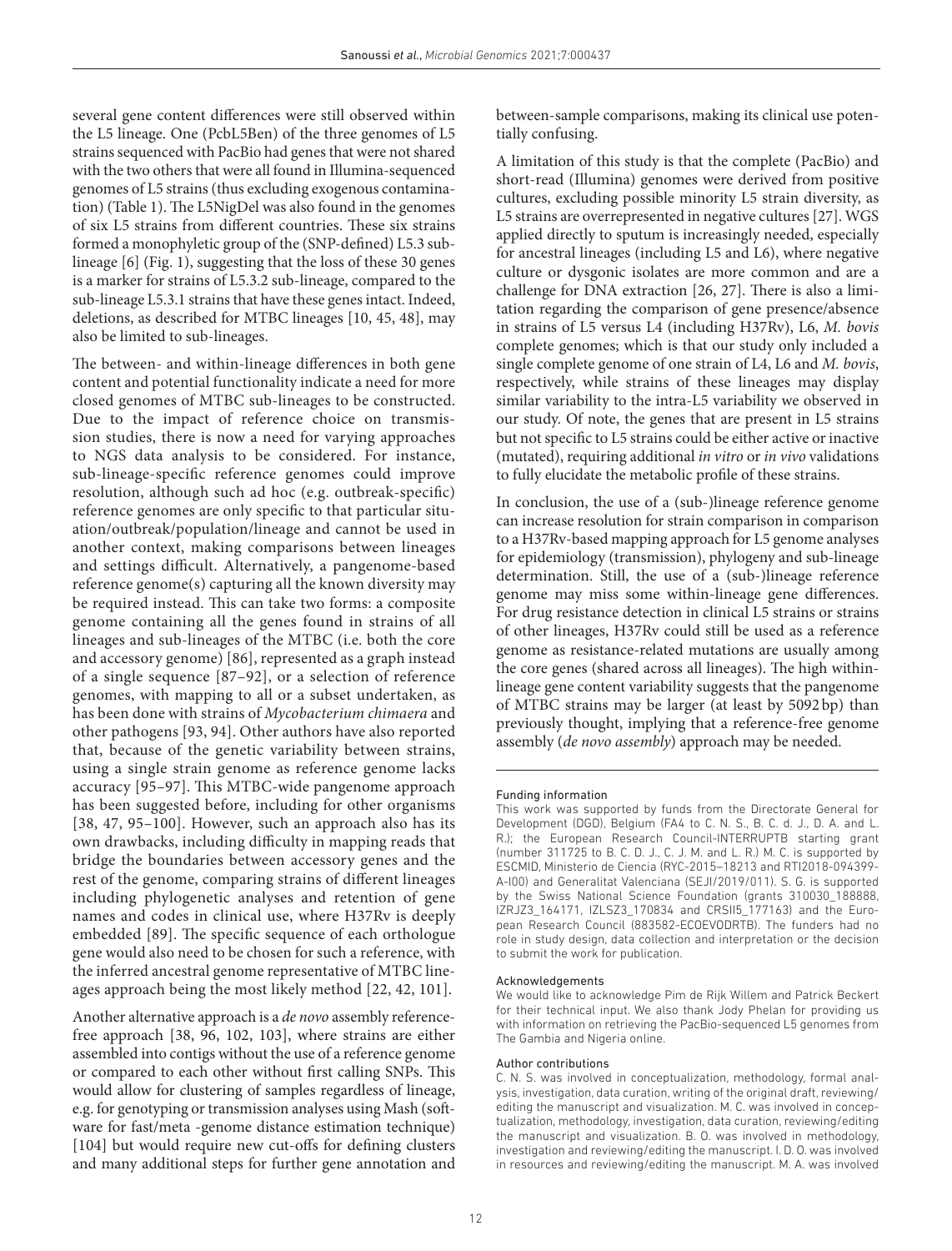several gene content differences were still observed within the L5 lineage. One (PcbL5Ben) of the three genomes of L5 strains sequenced with PacBio had genes that were not shared with the two others that were all found in Illumina-sequenced genomes of L5 strains (thus excluding exogenous contamination) ([Table 1\)](#page-4-0). The L5NigDel was also found in the genomes of six L5 strains from different countries. These six strains formed a monophyletic group of the (SNP-defined) L5.3 sublineage [\[6](#page-12-18)] [\(Fig. 1](#page-7-0)), suggesting that the loss of these 30 genes is a marker for strains of L5.3.2 sub-lineage, compared to the sub-lineage L5.3.1 strains that have these genes intact. Indeed, deletions, as described for MTBC lineages [[10,](#page-12-5) [45, 48\]](#page-13-25), may also be limited to sub-lineages.

The between- and within-lineage differences in both gene content and potential functionality indicate a need for more closed genomes of MTBC sub-lineages to be constructed. Due to the impact of reference choice on transmission studies, there is now a need for varying approaches to NGS data analysis to be considered. For instance, sub-lineage-specific reference genomes could improve resolution, although such ad hoc (e.g. outbreak-specific) reference genomes are only specific to that particular situation/outbreak/population/lineage and cannot be used in another context, making comparisons between lineages and settings difficult. Alternatively, a pangenome-based reference genome(s) capturing all the known diversity may be required instead. This can take two forms: a composite genome containing all the genes found in strains of all lineages and sub-lineages of the MTBC (i.e. both the core and accessory genome) [\[86](#page-14-6)], represented as a graph instead of a single sequence [\[87–92](#page-14-7)], or a selection of reference genomes, with mapping to all or a subset undertaken, as has been done with strains of *Mycobacterium chimaera* and other pathogens [\[93](#page-14-8), [94\]](#page-14-9). Other authors have also reported that, because of the genetic variability between strains, using a single strain genome as reference genome lacks accuracy [[95–97](#page-14-10)]. This MTBC-wide pangenome approach has been suggested before, including for other organisms [[38, 47, 95–100](#page-13-2)]. However, such an approach also has its own drawbacks, including difficulty in mapping reads that bridge the boundaries between accessory genes and the rest of the genome, comparing strains of different lineages including phylogenetic analyses and retention of gene names and codes in clinical use, where H37Rv is deeply embedded [[89\]](#page-14-11). The specific sequence of each orthologue gene would also need to be chosen for such a reference, with the inferred ancestral genome representative of MTBC lineages approach being the most likely method [[22, 42, 101](#page-12-11)].

Another alternative approach is a *de novo* assembly referencefree approach [[38, 96, 102, 103\]](#page-13-2), where strains are either assembled into contigs without the use of a reference genome or compared to each other without first calling SNPs. This would allow for clustering of samples regardless of lineage, e.g. for genotyping or transmission analyses using Mash (software for fast/meta -genome distance estimation technique) [[104\]](#page-14-12) but would require new cut-offs for defining clusters and many additional steps for further gene annotation and

between-sample comparisons, making its clinical use potentially confusing.

A limitation of this study is that the complete (PacBio) and short-read (Illumina) genomes were derived from positive cultures, excluding possible minority L5 strain diversity, as L5 strains are overrepresented in negative cultures [[27](#page-12-13)]. WGS applied directly to sputum is increasingly needed, especially for ancestral lineages (including L5 and L6), where negative culture or dysgonic isolates are more common and are a challenge for DNA extraction [\[26, 27\]](#page-12-21). There is also a limitation regarding the comparison of gene presence/absence in strains of L5 versus L4 (including H37Rv), L6, *M. bovis* complete genomes; which is that our study only included a single complete genome of one strain of L4, L6 and *M. bovis*, respectively, while strains of these lineages may display similar variability to the intra-L5 variability we observed in our study. Of note, the genes that are present in L5 strains but not specific to L5 strains could be either active or inactive (mutated), requiring additional *in vitro* or *in vivo* validations to fully elucidate the metabolic profile of these strains.

In conclusion, the use of a (sub-)lineage reference genome can increase resolution for strain comparison in comparison to a H37Rv-based mapping approach for L5 genome analyses for epidemiology (transmission), phylogeny and sub-lineage determination. Still, the use of a (sub-)lineage reference genome may miss some within-lineage gene differences. For drug resistance detection in clinical L5 strains or strains of other lineages, H37Rv could still be used as a reference genome as resistance-related mutations are usually among the core genes (shared across all lineages). The high withinlineage gene content variability suggests that the pangenome of MTBC strains may be larger (at least by 5092bp) than previously thought, implying that a reference-free genome assembly (*de novo assembly*) approach may be needed.

#### Funding information

#### Acknowledgements

We would like to acknowledge Pim de Rijk Willem and Patrick Beckert for their technical input. We also thank Jody Phelan for providing us with information on retrieving the PacBio-sequenced L5 genomes from The Gambia and Nigeria online.

#### Author contributions

C. N. S. was involved in conceptualization, methodology, formal analysis, investigation, data curation, writing of the original draft, reviewing/ editing the manuscript and visualization. M. C. was involved in conceptualization, methodology, investigation, data curation, reviewing/editing the manuscript and visualization. B. O. was involved in methodology, investigation and reviewing/editing the manuscript. I. D. O. was involved in resources and reviewing/editing the manuscript. M. A. was involved

This work was supported by funds from the Directorate General for Development (DGD), Belgium (FA4 to C. N. S., B. C. d. J., D. A. and L. R.); the European Research Council-INTERRUPTB starting grant (number 311725 to B. C. D. J., C. J. M. and L. R.) M. C. is supported by ESCMID, Ministerio de Ciencia (RYC-2015–18213 and RTI2018-094399- A-I00) and Generalitat Valenciana (SEJI/2019/011). S. G. is supported by the Swiss National Science Foundation (grants 310030\_188888, IZRJZ3\_164171, IZLSZ3\_170834 and CRSII5\_177163) and the European Research Council (883582-ECOEVODRTB). The funders had no role in study design, data collection and interpretation or the decision to submit the work for publication.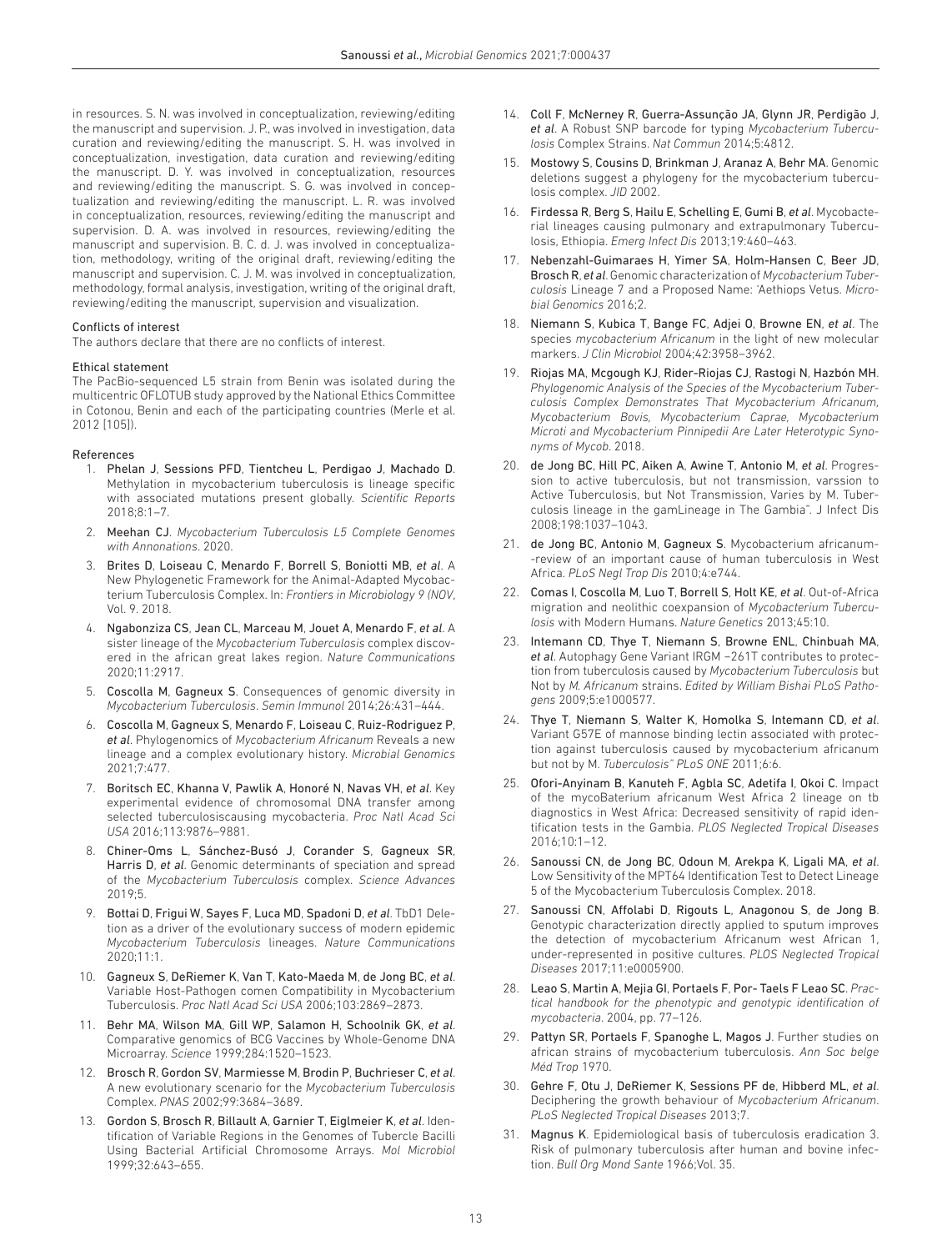in resources. S. N. was involved in conceptualization, reviewing/editing the manuscript and supervision. J. P., was involved in investigation, data curation and reviewing/editing the manuscript. S. H. was involved in conceptualization, investigation, data curation and reviewing/editing the manuscript. D. Y. was involved in conceptualization, resources and reviewing/editing the manuscript. S. G. was involved in conceptualization and reviewing/editing the manuscript. L. R. was involved in conceptualization, resources, reviewing/editing the manuscript and supervision. D. A. was involved in resources, reviewing/editing the manuscript and supervision. B. C. d. J. was involved in conceptualization, methodology, writing of the original draft, reviewing/editing the manuscript and supervision. C. J. M. was involved in conceptualization, methodology, formal analysis, investigation, writing of the original draft, reviewing/editing the manuscript, supervision and visualization.

#### Conflicts of interest

The authors declare that there are no conflicts of interest.

#### Ethical statement

The PacBio-sequenced L5 strain from Benin was isolated during the multicentric OFLOTUB study approved by the National Ethics Committee in Cotonou, Benin and each of the participating countries (Merle et al. 2012 [[105\]\)](#page-14-13).

#### References

- <span id="page-12-0"></span>1. Phelan J, Sessions PFD, Tientcheu L, Perdigao J, Machado D. Methylation in mycobacterium tuberculosis is lineage specific with associated mutations present globally. *Scientific Reports* 2018;8:1–7.
- <span id="page-12-1"></span>2. Meehan CJ. *Mycobacterium Tuberculosis L5 Complete Genomes with Annonations*. 2020.
- <span id="page-12-2"></span>3. Brites D, Loiseau C, Menardo F, Borrell S, Boniotti MB, *et al*. A New Phylogenetic Framework for the Animal-Adapted Mycobacterium Tuberculosis Complex. In: *Frontiers in Microbiology 9 (NOV*, Vol. 9. 2018.
- <span id="page-12-8"></span>4. Ngabonziza CS, Jean CL, Marceau M, Jouet A, Menardo F, *et al*. A sister lineage of the *Mycobacterium Tuberculosis* complex discovered in the african great lakes region. *Nature Communications* 2020;11:2917.
- <span id="page-12-20"></span>5. Coscolla M, Gagneux S. Consequences of genomic diversity in *Mycobacterium Tuberculosis*. *Semin Immunol* 2014;26:431–444.
- <span id="page-12-18"></span>6. Coscolla M, Gagneux S, Menardo F, Loiseau C, Ruiz-Rodriguez P, *et al*. Phylogenomics of *Mycobacterium Africanum* Reveals a new lineage and a complex evolutionary history. *Microbial Genomics* 2021;7:477.
- <span id="page-12-3"></span>7. Boritsch EC, Khanna V, Pawlik A, Honoré N, Navas VH, *et al*. Key experimental evidence of chromosomal DNA transfer among selected tuberculosiscausing mycobacteria. *Proc Natl Acad Sci USA* 2016;113:9876–9881.
- 8. Chiner-Oms L, Sánchez-Busó J, Corander S, Gagneux SR, Harris D, *et al*. Genomic determinants of speciation and spread of the *Mycobacterium Tuberculosis* complex. *Science Advances* 2019;5.
- <span id="page-12-4"></span>9. Bottai D, Frigui W, Sayes F, Luca MD, Spadoni D, *et al*. TbD1 Deletion as a driver of the evolutionary success of modern epidemic *Mycobacterium Tuberculosis* lineages. *Nature Communications* 2020;11:1.
- <span id="page-12-5"></span>10. Gagneux S, DeRiemer K, Van T, Kato-Maeda M, de Jong BC, *et al*. Variable Host-Pathogen comen Compatibility in Mycobacterium Tuberculosis. *Proc Natl Acad Sci USA* 2006;103:2869–2873.
- 11. Behr MA, Wilson MA, Gill WP, Salamon H, Schoolnik GK, *et al*. Comparative genomics of BCG Vaccines by Whole-Genome DNA Microarray. *Science* 1999;284:1520–1523.
- <span id="page-12-7"></span>12. Brosch R, Gordon SV, Marmiesse M, Brodin P, Buchrieser C, *et al*. A new evolutionary scenario for the *Mycobacterium Tuberculosis* Complex. *PNAS* 2002;99:3684–3689.
- <span id="page-12-19"></span>13. Gordon S, Brosch R, Billault A, Garnier T, Eiglmeier K, *et al*. Identification of Variable Regions in the Genomes of Tubercle Bacilli Using Bacterial Artificial Chromosome Arrays. *Mol Microbiol* 1999;32:643–655.
- <span id="page-12-6"></span>14. Coll F, McNerney R, Guerra-Assunção JA, Glynn JR, Perdigão J, *et al*. A Robust SNP barcode for typing *Mycobacterium Tuberculosis* Complex Strains. *Nat Commun* 2014;5:4812.
- 15. Mostowy S, Cousins D, Brinkman J, Aranaz A, Behr MA. Genomic deletions suggest a phylogeny for the mycobacterium tuberculosis complex. *JID* 2002.
- 16. Firdessa R, Berg S, Hailu E, Schelling E, Gumi B, *et al*. Mycobacterial lineages causing pulmonary and extrapulmonary Tuberculosis, Ethiopia. *Emerg Infect Dis* 2013;19:460–463.
- 17. Nebenzahl-Guimaraes H, Yimer SA, Holm-Hansen C, Beer JD, Brosch R, *et al*. Genomic characterization of *Mycobacterium Tuberculosis* Lineage 7 and a Proposed Name: 'Aethiops Vetus. *Microbial Genomics* 2016;2.
- <span id="page-12-9"></span>18. Niemann S, Kubica T, Bange FC, Adjei O, Browne EN, *et al*. The species *mycobacterium Africanum* in the light of new molecular markers. *J Clin Microbiol* 2004;42:3958–3962.
- <span id="page-12-17"></span>19. Riojas MA, Mcgough KJ, Rider-Riojas CJ, Rastogi N, Hazbón MH. *Phylogenomic Analysis of the Species of the Mycobacterium Tuberculosis Complex Demonstrates That Mycobacterium Africanum, Mycobacterium Bovis, Mycobacterium Caprae, Mycobacterium Microti and Mycobacterium Pinnipedii Are Later Heterotypic Synonyms of Mycob*. 2018.
- <span id="page-12-10"></span>20. de Jong BC, Hill PC, Aiken A, Awine T, Antonio M, *et al*. Progression to active tuberculosis, but not transmission, varssion to Active Tuberculosis, but Not Transmission, Varies by M. Tuberculosis lineage in the gamLineage in The Gambia". J Infect Dis 2008;198:1037–1043.
- <span id="page-12-14"></span>21. de Jong BC, Antonio M, Gagneux S. Mycobacterium africanum- -review of an important cause of human tuberculosis in West Africa. *PLoS Negl Trop Dis* 2010;4:e744.
- <span id="page-12-11"></span>22. Comas I, Coscolla M, Luo T, Borrell S, Holt KE, *et al*. Out-of-Africa migration and neolithic coexpansion of *Mycobacterium Tuberculosis* with Modern Humans. *Nature Genetics* 2013;45:10.
- 23. Intemann CD, Thye T, Niemann S, Browne ENL, Chinbuah MA, *et al*. Autophagy Gene Variant IRGM −261T contributes to protection from tuberculosis caused by *Mycobacterium Tuberculosis* but Not by *M. Africanum* strains. *Edited by William Bishai PLoS Pathogens* 2009;5:e1000577.
- 24. Thye T, Niemann S, Walter K, Homolka S, Intemann CD, *et al*. Variant G57E of mannose binding lectin associated with protection against tuberculosis caused by mycobacterium africanum but not by M. *Tuberculosis" PLoS ONE* 2011;6:6.
- <span id="page-12-12"></span>25. Ofori-Anyinam B, Kanuteh F, Agbla SC, Adetifa I, Okoi C. Impact of the mycoBaterium africanum West Africa 2 lineage on tb diagnostics in West Africa: Decreased sensitivity of rapid identification tests in the Gambia. *PLOS Neglected Tropical Diseases* 2016;10:1–12.
- <span id="page-12-21"></span>26. Sanoussi CN, de Jong BC, Odoun M, Arekpa K, Ligali MA, *et al*. Low Sensitivity of the MPT64 Identification Test to Detect Lineage 5 of the Mycobacterium Tuberculosis Complex. 2018.
- <span id="page-12-13"></span>27. Sanoussi CN, Affolabi D, Rigouts L, Anagonou S, de Jong B. Genotypic characterization directly applied to sputum improves the detection of mycobacterium Africanum west African 1, under-represented in positive cultures. *PLOS Neglected Tropical Diseases* 2017;11:e0005900.
- 28. Leao S, Martin A, Mejia GI, Portaels F, Por- Taels F Leao SC. *Practical handbook for the phenotypic and genotypic identification of mycobacteria*. 2004, pp. 77–126.
- 29. Pattyn SR, Portaels F, Spanoghe L, Magos J. Further studies on african strains of mycobacterium tuberculosis. *Ann Soc belge Méd Trop* 1970.
- <span id="page-12-15"></span>30. Gehre F, Otu J, DeRiemer K, Sessions PF de, Hibberd ML, *et al*. Deciphering the growth behaviour of *Mycobacterium Africanum*. *PLoS Neglected Tropical Diseases* 2013;7.
- <span id="page-12-16"></span>31. Magnus K. Epidemiological basis of tuberculosis eradication 3. Risk of pulmonary tuberculosis after human and bovine infection. *Bull Org Mond Sante* 1966;Vol. 35.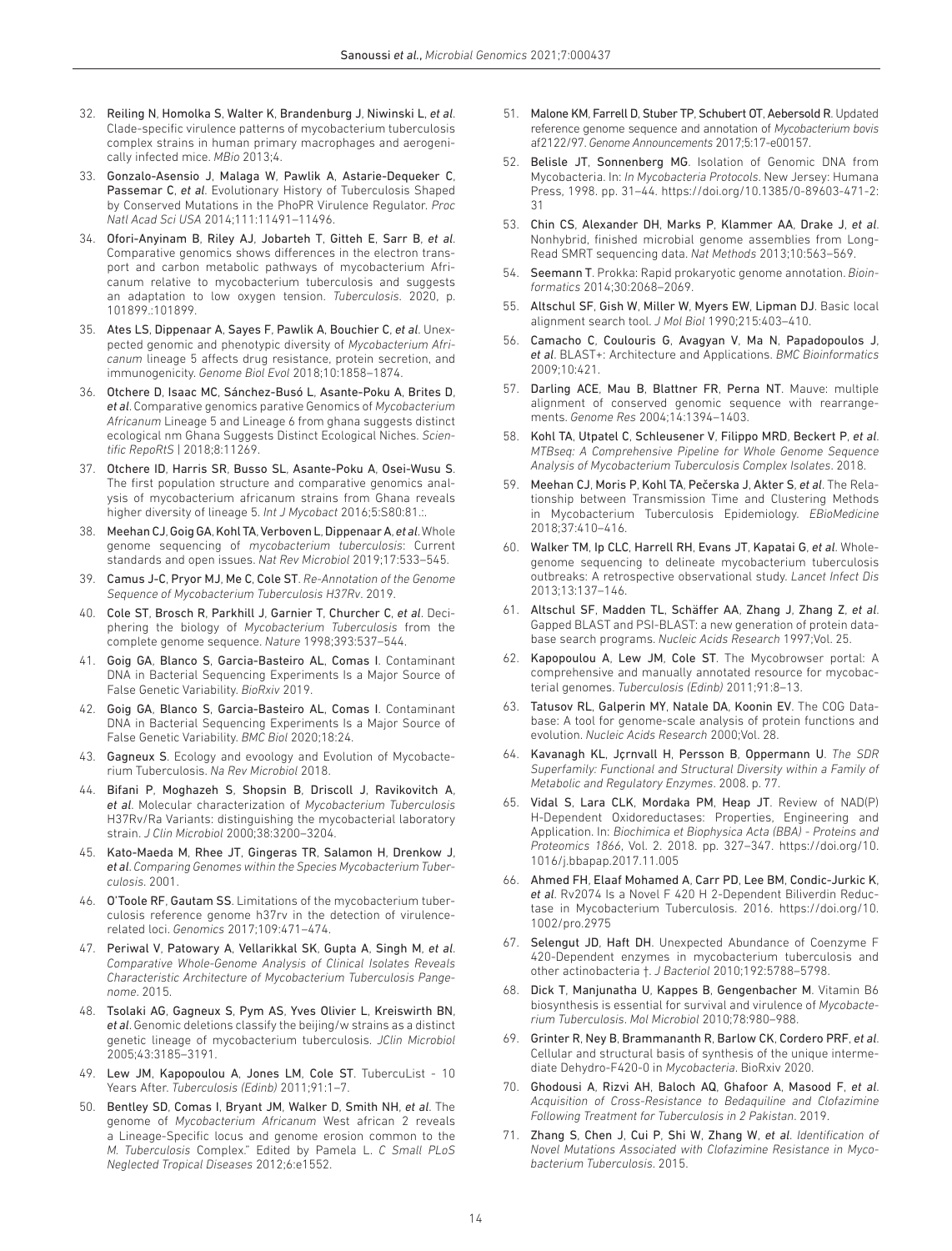- 32. Reiling N, Homolka S, Walter K, Brandenburg J, Niwinski L, *et al*. Clade-specific virulence patterns of mycobacterium tuberculosis complex strains in human primary macrophages and aerogenically infected mice. *MBio* 2013;4.
- <span id="page-13-0"></span>33. Gonzalo-Asensio J, Malaga W, Pawlik A, Astarie-Dequeker C, Passemar C, *et al*. Evolutionary History of Tuberculosis Shaped by Conserved Mutations in the PhoPR Virulence Regulator. *Proc Natl Acad Sci USA* 2014;111:11491–11496.
- 34. Ofori-Anyinam B, Riley AJ, Jobarteh T, Gitteh E, Sarr B, *et al*. Comparative genomics shows differences in the electron transport and carbon metabolic pathways of mycobacterium Africanum relative to mycobacterium tuberculosis and suggests an adaptation to low oxygen tension. *Tuberculosis*. 2020, p. 101899.:101899.
- <span id="page-13-1"></span>35. Ates LS, Dippenaar A, Sayes F, Pawlik A, Bouchier C, *et al*. Unexpected genomic and phenotypic diversity of *Mycobacterium Africanum* lineage 5 affects drug resistance, protein secretion, and immunogenicity. *Genome Biol Evol* 2018;10:1858–1874.
- <span id="page-13-5"></span>36. Otchere D, Isaac MC, Sánchez-Busó L, Asante-Poku A, Brites D, *et al*. Comparative genomics parative Genomics of *Mycobacterium Africanum* Lineage 5 and Lineage 6 from ghana suggests distinct ecological nm Ghana Suggests Distinct Ecological Niches. *Scientific RepoRtS* | 2018;8:11269.
- <span id="page-13-6"></span>37. Otchere ID, Harris SR, Busso SL, Asante-Poku A, Osei-Wusu S. The first population structure and comparative genomics analysis of mycobacterium africanum strains from Ghana reveals higher diversity of lineage 5. *Int J Mycobact* 2016;5:S80:81.:.
- <span id="page-13-2"></span>38. Meehan CJ, Goig GA, Kohl TA, Verboven L, Dippenaar A, *et al*. Whole genome sequencing of *mycobacterium tuberculosis*: Current standards and open issues. *Nat Rev Microbiol* 2019;17:533–545.
- <span id="page-13-3"></span>39. Camus J-C, Pryor MJ, Me C, Cole ST. *Re-Annotation of the Genome Sequence of Mycobacterium Tuberculosis H37Rv*. 2019.
- <span id="page-13-14"></span>40. Cole ST, Brosch R, Parkhill J, Garnier T, Churcher C, *et al*. Deciphering the biology of *Mycobacterium Tuberculosis* from the complete genome sequence. *Nature* 1998;393:537–544.
- 41. Goig GA, Blanco S, Garcia-Basteiro AL, Comas I. Contaminant DNA in Bacterial Sequencing Experiments Is a Major Source of False Genetic Variability. *BioRxiv* 2019.
- 42. Goig GA, Blanco S, Garcia-Basteiro AL, Comas I. Contaminant DNA in Bacterial Sequencing Experiments Is a Major Source of False Genetic Variability. *BMC Biol* 2020;18:24.
- <span id="page-13-4"></span>43. Gagneux S. Ecology and evoology and Evolution of Mycobacterium Tuberculosis. *Na Rev Microbiol* 2018.
- 44. Bifani P, Moghazeh S, Shopsin B, Driscoll J, Ravikovitch A, *et al*. Molecular characterization of *Mycobacterium Tuberculosis* H37Rv/Ra Variants: distinguishing the mycobacterial laboratory strain. *J Clin Microbiol* 2000;38:3200–3204.
- <span id="page-13-25"></span>45. Kato-Maeda M, Rhee JT, Gingeras TR, Salamon H, Drenkow J, *et al*. *Comparing Genomes within the Species Mycobacterium Tuberculosis*. 2001.
- <span id="page-13-24"></span>46. O'Toole RF, Gautam SS. Limitations of the mycobacterium tuberculosis reference genome h37rv in the detection of virulencerelated loci. *Genomics* 2017;109:471–474.
- 47. Periwal V, Patowary A, Vellarikkal SK, Gupta A, Singh M, *et al*. *Comparative Whole-Genome Analysis of Clinical Isolates Reveals Characteristic Architecture of Mycobacterium Tuberculosis Pangenome*. 2015.
- 48. Tsolaki AG, Gagneux S, Pym AS, Yves Olivier L, Kreiswirth BN, *et al*. Genomic deletions classify the beijing/w strains as a distinct genetic lineage of mycobacterium tuberculosis. *JClin Microbiol* 2005;43:3185–3191.
- 49. Lew JM, Kapopoulou A, Jones LM, Cole ST. TubercuList 10 Years After. *Tuberculosis (Edinb)* 2011;91:1–7.
- <span id="page-13-7"></span>50. Bentley SD, Comas I, Bryant JM, Walker D, Smith NH, *et al*. The genome of *Mycobacterium Africanum* West african 2 reveals a Lineage-Specific locus and genome erosion common to the *M. Tuberculosis* Complex." Edited by Pamela L. *C Small PLoS Neglected Tropical Diseases* 2012;6:e1552.
- <span id="page-13-8"></span>51. Malone KM, Farrell D, Stuber TP, Schubert OT, Aebersold R. Updated reference genome sequence and annotation of *Mycobacterium bovis* af2122/97. *Genome Announcements* 2017;5:17-e00157.
- 52. Belisle JT, Sonnenberg MG. Isolation of Genomic DNA from Mycobacteria. In: *In Mycobacteria Protocols*. New Jersey: Humana Press, 1998. pp. 31–44. [https://doi.org/10.1385/0-89603-471-2:](https://doi.org/10.1385/0-89603-471-2:31) [31](https://doi.org/10.1385/0-89603-471-2:31)
- <span id="page-13-9"></span>53. Chin CS, Alexander DH, Marks P, Klammer AA, Drake J, *et al*. Nonhybrid, finished microbial genome assemblies from Long-Read SMRT sequencing data. *Nat Methods* 2013;10:563–569.
- <span id="page-13-10"></span>54. Seemann T. Prokka: Rapid prokaryotic genome annotation. *Bioinformatics* 2014;30:2068–2069.
- <span id="page-13-11"></span>55. Altschul SF, Gish W, Miller W, Myers EW, Lipman DJ. Basic local alignment search tool. *J Mol Biol* 1990;215:403–410.
- 56. Camacho C, Coulouris G, Avagyan V, Ma N, Papadopoulos J, *et al*. BLAST+: Architecture and Applications. *BMC Bioinformatics* 2009;10:421.
- <span id="page-13-12"></span>57. Darling ACE, Mau B, Blattner FR, Perna NT. Mauve: multiple alignment of conserved genomic sequence with rearrangements. *Genome Res* 2004;14:1394–1403.
- <span id="page-13-13"></span>58. Kohl TA, Utpatel C, Schleusener V, Filippo MRD, Beckert P, *et al*. *MTBseq: A Comprehensive Pipeline for Whole Genome Sequence Analysis of Mycobacterium Tuberculosis Complex Isolates*. 2018.
- <span id="page-13-15"></span>59. Meehan CJ, Moris P, Kohl TA, Pečerska J, Akter S, *et al*. The Relationship between Transmission Time and Clustering Methods in Mycobacterium Tuberculosis Epidemiology. *EBioMedicine* 2018;37:410–416.
- 60. Walker TM, Ip CLC, Harrell RH, Evans JT, Kapatai G, *et al*. Wholegenome sequencing to delineate mycobacterium tuberculosis outbreaks: A retrospective observational study. *Lancet Infect Dis* 2013;13:137–146.
- <span id="page-13-16"></span>61. Altschul SF, Madden TL, Schäffer AA, Zhang J, Zhang Z, *et al*. Gapped BLAST and PSI-BLAST: a new generation of protein database search programs. *Nucleic Acids Research* 1997;Vol. 25.
- <span id="page-13-17"></span>62. Kapopoulou A, Lew JM, Cole ST. The Mycobrowser portal: A comprehensive and manually annotated resource for mycobacterial genomes. *Tuberculosis (Edinb)* 2011;91:8–13.
- <span id="page-13-18"></span>63. Tatusov RL, Galperin MY, Natale DA, Koonin EV. The COG Database: A tool for genome-scale analysis of protein functions and evolution. *Nucleic Acids Research* 2000;Vol. 28.
- <span id="page-13-19"></span>64. Kavanagh KL, Jçrnvall H, Persson B, Oppermann U. *The SDR Superfamily: Functional and Structural Diversity within a Family of Metabolic and Regulatory Enzymes*. 2008. p. 77.
- 65. Vidal S, Lara CLK, Mordaka PM, Heap JT. Review of NAD(P) H-Dependent Oxidoreductases: Properties, Engineering and Application. In: *Biochimica et Biophysica Acta (BBA) - Proteins and Proteomics 1866*, Vol. 2. 2018. pp. 327–347. [https://doi.org/10.](https://doi.org/10.1016/j.bbapap.2017.11.005) [1016/j.bbapap.2017.11.005](https://doi.org/10.1016/j.bbapap.2017.11.005)
- <span id="page-13-20"></span>66. Ahmed FH, Elaaf Mohamed A, Carr PD, Lee BM, Condic-Jurkic K, *et al*. Rv2074 Is a Novel F 420 H 2-Dependent Biliverdin Reductase in Mycobacterium Tuberculosis. 2016. [https://doi.org/10.](https://doi.org/10.1002/pro.2975) [1002/pro.2975](https://doi.org/10.1002/pro.2975)
- 67. Selengut JD, Haft DH. Unexpected Abundance of Coenzyme F 420-Dependent enzymes in mycobacterium tuberculosis and other actinobacteria †. *J Bacteriol* 2010;192:5788–5798.
- <span id="page-13-21"></span>68. Dick T, Manjunatha U, Kappes B, Gengenbacher M. Vitamin B6 biosynthesis is essential for survival and virulence of *Mycobacterium Tuberculosis*. *Mol Microbiol* 2010;78:980–988.
- <span id="page-13-22"></span>69. Grinter R, Ney B, Brammananth R, Barlow CK, Cordero PRF, *et al*. Cellular and structural basis of synthesis of the unique intermediate Dehydro-F420-0 in *Mycobacteria*. BioRxiv 2020.
- <span id="page-13-23"></span>70. Ghodousi A, Rizvi AH, Baloch AQ, Ghafoor A, Masood F, *et al*. *Acquisition of Cross-Resistance to Bedaquiline and Clofazimine Following Treatment for Tuberculosis in 2 Pakistan*. 2019.
- 71. Zhang S, Chen J, Cui P, Shi W, Zhang W, *et al*. *Identification of Novel Mutations Associated with Clofazimine Resistance in Mycobacterium Tuberculosis*. 2015.